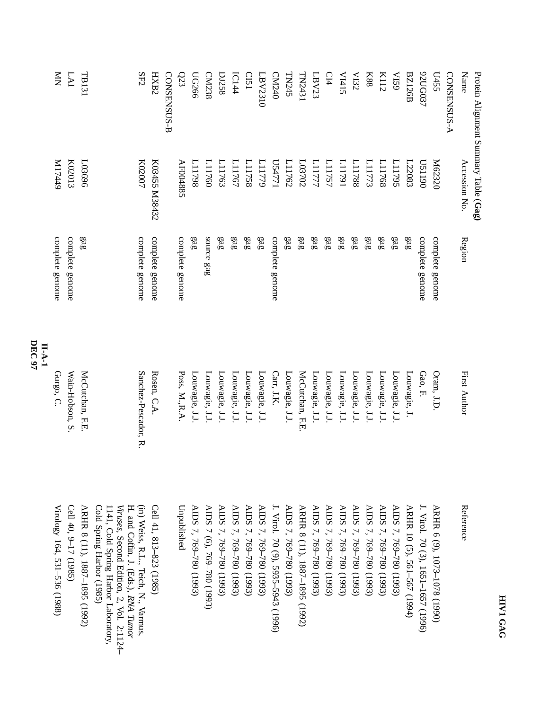| Protein Alignment Summary Table (Gag) |               |                           |                      |                                                                                                                                                     |
|---------------------------------------|---------------|---------------------------|----------------------|-----------------------------------------------------------------------------------------------------------------------------------------------------|
| Name                                  | Accession No. | Region                    | <b>First Author</b>  | Reference                                                                                                                                           |
| <b>CONSENSUS-A</b>                    |               |                           |                      |                                                                                                                                                     |
| L455                                  | M62320        | complete genome           | Oram, J.D.           | ARHR 6 (9), 1073-1078 (1990)                                                                                                                        |
| <b>92UG037</b>                        | <b>USI190</b> | complete genome           | Gao, F.              | J. Virol. 70 (3), 1651–1657 (1996)                                                                                                                  |
| <b>BZ126B</b>                         | L22083        | $\frac{3}{6}$             | Louwagie, J.         | ARHR 10 (5), 561-567 (1994)                                                                                                                         |
| 6SIA                                  | L11795        | 5a <sub>3</sub>           | Louwagie, J.J.       | AIDS 7, 769-780 (1993)                                                                                                                              |
| K112                                  | L11768        | $\frac{3}{6}$             | Louwagie, J.J        | AIDS 7, 769-780 (1993)                                                                                                                              |
| <b>K88</b>                            | L11773        | $\frac{3}{6}$             | Louwagie, J.J.       | AIDS 7, 769-780 (1993)                                                                                                                              |
| <b>VI32</b>                           | E11788        | 383                       | Louwagie, J.J.       | AIDS 7, 769-780 (1993)                                                                                                                              |
| <b>V1415</b>                          | L11791        | $58\overline{3}$          | Louwagie, J.J.       | AIDS 7, 769-780 (1993)                                                                                                                              |
| C14                                   | L11757        | 383                       | Louwagie, J.J        | AIDS 7, 769-780 (1993)                                                                                                                              |
| LBV23                                 | LT1777        | 383                       | Louwagie, J.J.       | AIDS 7, 769-780 (1993)                                                                                                                              |
| TN2431                                | L03702        | 5s3                       | McCutchan, F.E.      | ARHR 8 (11), 1887-1895 (1992)                                                                                                                       |
| TN245                                 | L11762        | $\frac{1}{3}$             | Louwagie, J.J.       | AIDS 7, 769-780 (1993)                                                                                                                              |
| CM240                                 | L24771        | complete genome           | Carr, J.K.           | I. Virol. 70 (9), 5935–5943 (1996)                                                                                                                  |
| LBV2310                               | L11779        | 383                       | Louwagie, J.J        | AIDS 7, 769-780 (1993)                                                                                                                              |
| <b>CIS1</b>                           | L11758        | 383                       | Louwagie, J.J        | AIDS 7, 769-780 (1993)                                                                                                                              |
| IC144                                 | L11767        | 5s3                       | Louwagie, J.J        | AIDS 7, 769-780 (1993)                                                                                                                              |
| DJ258                                 | L11763        | 5a <sub>5</sub>           | Louwagie, J.J        | AIDS 7, 769-780 (1993)                                                                                                                              |
| CM238                                 | L11760        | source gag                | Louwagie, J.J        | AIDS 7 (6), 769–780 (1993)                                                                                                                          |
| <b>UG266</b>                          | L11798        | 532                       | Louwagie, J.J        | AIDS 7, 769–780 (1993)                                                                                                                              |
| Q23                                   | AF004885      | complete genome           | Poss, M.,R.A         | Unpublished                                                                                                                                         |
| CONSENSUS-B                           |               |                           |                      |                                                                                                                                                     |
| HXB2                                  | K03455 M38432 | complete genome           | Rosen, C.A.          | Cell 41, 813-823 (1985)                                                                                                                             |
| SF2                                   | K02007        | complete genome           | Sanchez-Pescador, R. | (in) Weiss, R.L., Teich, N., Varmus,                                                                                                                |
|                                       |               |                           |                      | H. and Coffin, J. (Eds.), RNA Tumor<br>Cold Spring Harbor (1985)<br>Viruses, Second Edition, 2, Vol. 2:1124<br>1141, Cold Spring Harbor Laboratory, |
| <b>TB131</b>                          | P69807        | 383                       | McCutchan, F.E.      | ARHR 8 (11), 1887-1895 (1992)                                                                                                                       |
| IAI                                   | K02013        | complete genome           | Wain-Hobson, S       | Cell 40, 9-17 (1985)                                                                                                                                |
| $\sum_{i=1}^{n}$                      | 6ttLIM        | complete genome           | Gurgo, C.            | Virology 164, 531–536 (1988)                                                                                                                        |
|                                       |               | DEC 97<br>$\text{II-A-1}$ |                      |                                                                                                                                                     |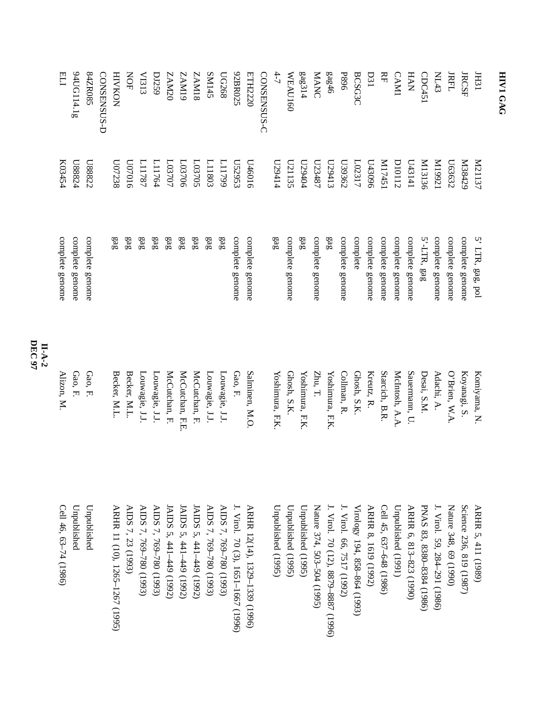| 凹<br>94UG114.1g<br>S4ZR085<br>CONSENSUS-D<br>L88824<br>L88822<br>K03454<br>complete genome<br>complete genome<br>complete genome<br>Alizon, M.<br>Gao, F.<br>Gao, F. | HIVKON<br>ЮF<br>VISI3<br>DJ259<br><b>ZAM20</b><br>6I NVZ<br>81MVZ<br>SM145<br>U07238<br>0.07016<br>L11764<br>L03707<br>P03706<br>L11803<br>L11787<br>L03705<br>383<br>$\frac{3}{6}$<br>$5s_3$<br>$\frac{3}{6}$<br>5s3<br>$5s_3$<br>$53\overline{6}$<br>383<br>Becker, M.L<br>Becker, M.L<br>McCutchan, F.<br>McCutchan, F.E.<br>McCutchan, F.<br>Louwagie, J.J.<br>Louwagie, J.J<br>Louwagie, J.J. | <b>UG268</b><br>92BR025<br>ETH2220<br>CONSENSUS-C<br>$4 - 7$<br>010910<br>F11799<br>L52953<br>129414<br>complete genome<br>complete genome<br>383<br>383<br>Salminen, M.O.<br>Louwagie, J.J.<br>Gao, F.<br>Yoshimura, F.K. | WEAU160<br>£145314<br>MANC<br><b>Sag46</b><br><b>P896</b><br><b>BCSG3C</b><br>D31<br>ЯH<br>HAN<br>CDC451<br>M <sub>43</sub><br>JRFL<br><b>JRCSF</b><br>JH <sub>31</sub><br><b>CAM1</b><br>ISt21IN<br><b>M13136</b><br>IZ661M<br>K28429<br>N21137<br>L21135<br>L <sub>1314</sub> 1<br>L63632<br>129404<br>L23487<br>L29413<br>L39362<br>L02317<br>043096<br><b>D10112</b><br>complete<br>complete genome<br>complete genome<br>complete genome<br>complete genome<br>complete genome<br>complete genome<br>complete genome<br>complete genome<br>complete genome<br>complete genome<br>$5'$ -LTR, gag<br>5' LTR, gag, pol<br>383<br>81g<br>Starcich, B.R.<br>Sauermann, U.<br>McIntosh, A.A<br>Ghosh, S.K.<br>$Zhu, T.$<br>Ghosh, S.K.<br>Kreutz, R.<br>Desai, S.M.<br>Adachi, A.<br>Koyanagi, S.<br>Collman, R.<br>$O'B$ rien, W.A<br>Yoshimura, F.K<br>Yoshimura, F.K.<br>Komiyama, N |
|----------------------------------------------------------------------------------------------------------------------------------------------------------------------|----------------------------------------------------------------------------------------------------------------------------------------------------------------------------------------------------------------------------------------------------------------------------------------------------------------------------------------------------------------------------------------------------|----------------------------------------------------------------------------------------------------------------------------------------------------------------------------------------------------------------------------|----------------------------------------------------------------------------------------------------------------------------------------------------------------------------------------------------------------------------------------------------------------------------------------------------------------------------------------------------------------------------------------------------------------------------------------------------------------------------------------------------------------------------------------------------------------------------------------------------------------------------------------------------------------------------------------------------------------------------------------------------------------------------------------------------------------------------------------------------------------------------------------|
| Unpublished<br>Unpublished<br>Cell 46, 63-74 (1986)                                                                                                                  | AIDS 7, 23 (1993)<br>IAIDS 5, 441-449 (1992)<br>IAIDS 5, 441-449 (1992)<br>IAIDS 5, 441-449 (1992)<br>ARHR 11 (10), 1265–1267 (1995)<br>AIDS 7, 769-780 (1993)<br>AIDS 7, 769-780 (1993)<br>AIDS 7, 769-780 (1993)                                                                                                                                                                                 | ARHR 12(14), 1329-1339 (1996)<br>AIDS 7, 769-780 (1993)<br>J. Virol. 70 (3), 1651-1667 (1996)<br>Unpublished (1995)                                                                                                        | Nature 374, 503-504 (1995)<br>Nature 348, 69 (1990)<br>Science 236, 819 (1987)<br>J. Virol. 66, 7517 (1992)<br>Virology 194, 858-864 (1993)<br>PNAS 83, 8380-8384 (1986)<br>J. Virol. 59, 284–291 (1986)<br>Unpublished (1995)<br>Unpublished (1995)<br>J. Virol. 70 (12), 8879–8887 (1996)<br>Unpublished (1991)<br>ARHR 6, 813-823 (1990)<br>ARHR 5, 411 (1989)<br>ARHR 8, 1619 (1992)<br>Cell 45, 637-648 (1986)                                                                                                                                                                                                                                                                                                                                                                                                                                                                    |

**DEC 97 II-A-2**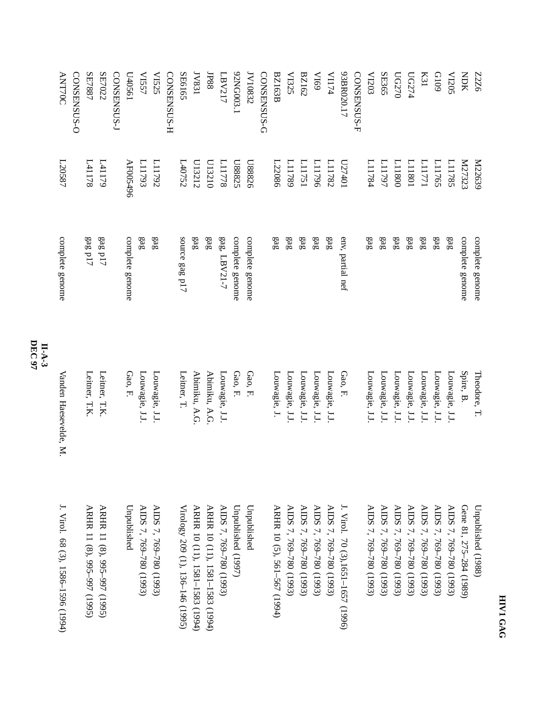|                                    | DEC 97<br>$II-A-3$    |                                          |               |                |
|------------------------------------|-----------------------|------------------------------------------|---------------|----------------|
| J. Virol. 68 (3), 1586–1596 (1994) | Vanden Haesevelde, M. | complete genome                          | L20587        | <b>ANT70C</b>  |
|                                    |                       |                                          |               | C-SOSENSCIS-O  |
| ARHR 11 (8), 995-997 (1995)        | Leitner, T.K          | $\ensuremath{\mathbb{S}}$ ag p<br>17     | E41178        | SE7887         |
| ARHR 11 (8), 995-997 (1995)        | Leitner, T.K.         | $\ensuremath{\mathbb{S}\mathrm{ag}}$ p17 | L41179        | SE7022         |
|                                    |                       |                                          |               | CONSENSUS-J    |
| Unpublished                        | Gao, F.               | complete genome                          | 96tS005A      | L950#0         |
| AIDS 7, 769-780 (1993)             | Louwagie, J.J.        | 8e3                                      | L11793        | VI557          |
| AIDS 7, 769-780 (1993)             | Louwagie, J.J.        | 383                                      | L11792        | VI525          |
|                                    |                       |                                          |               | CONSENSUS-H    |
| Virology 209 (1), 136–146 (1995)   | Leitner, T.           | source gag p17                           | L40752        | <b>SE6165</b>  |
| ARHR 10 (11), 1581–1583 (1994)     | Abimiku, A.G          | 383                                      | L13212        | <b>IV831</b>   |
| ARHR 10 (11), 1581–1583 (1994)     | Abimiku, A.G          | 383                                      | U13210        | JP88           |
| AIDS 7, 769-780 (1993)             | Louwagie, J.J.        | gag, LBV21-7                             | E11778        | LISV217        |
| Unpublished (1997)                 | Gao, F.               | complete genome                          | L88825        | 92NG003.1      |
| Unpublished                        | Gao, F.               | complete genome                          | <b>U88826</b> | <b>JV10832</b> |
|                                    |                       |                                          |               | CONSENSUS-G    |
| ARHR 10 (5), 561–567 (1994)        | Louwagie, J.          | 383                                      | L22086        | <b>BZ163B</b>  |
| AIDS 7, 769-780 (1993)             | Louwagie, J.J.        | 383                                      | L11789        | <b>VI325</b>   |
| AIDS 7, 769-780 (1993)             | Louwagie, J.J         | 383                                      | 111751        | <b>BZ162</b>   |
| AIDS 7, 769-780 (1993)             | Louwagie, J.J         | 5a <sub>3</sub>                          | P11796        | <b>VI69</b>    |
| AIDS 7, 769-780 (1993)             | Louwagie, J.J.        | 383                                      | L11782        | M174           |
| J. Virol. 70 (3),1651-1657 (1996)  | Gao, F.               | env, partial nef                         | 1077401       | 93BR020.17     |
|                                    |                       |                                          |               | CONSENSUS-F    |
| AIDS 7, 769-780 (1993)             | Louwagie, J.J         | 383                                      | L11784        | <b>VI203</b>   |
| AIDS 7, 769-780 (1993)             | Louwagie, J.J         | $58\overline{3}$                         | 11797         | <b>SE365</b>   |
| AIDS 7, 769-780 (1993)             | Louwagie, J.J         | 383                                      | L11800        | <b>UG270</b>   |
| AIDS 7, 769-780 (1993)             | Louwagie, J.J         | $\frac{3}{6}$                            | L11801        | LC274          |
| AIDS 7, 769-780 (1993)             | Louwagie, J.J         | 383                                      | 17711         | K31            |
| AIDS 7, 769-780 (1993)             | Louwagie, J.J         | 383                                      | L11765        | G109           |
| AIDS 7, 769-780 (1993)             | Louwagie, J.J.        | $\frac{3}{6}$                            | L11785        | <b>VI205</b>   |
| Gene 81, 275-284 (1989)            | Spire, B.             | complete genome                          | K27323        | NDK            |
| Unpublished (1988)                 | Theodore, T.          | complete genome                          | M22639        | 9ZZZ           |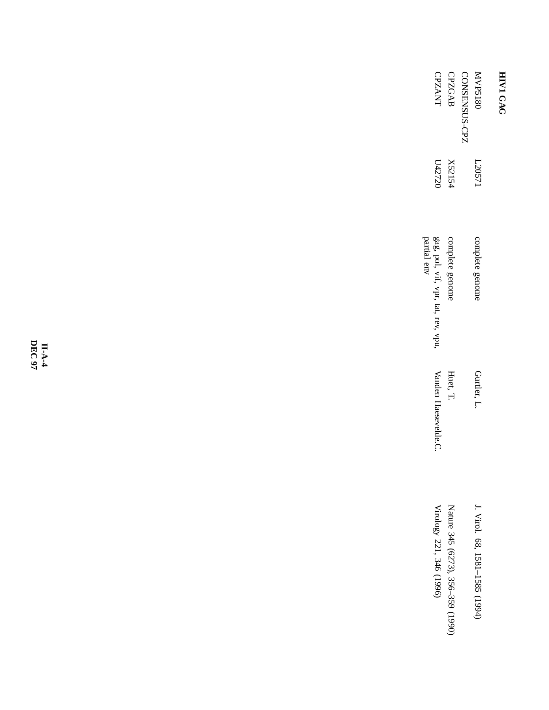| Ģ<br>Ţ<br>Ē<br>5 |
|------------------|
|                  |

| <b>MVP5180</b> | L20571 | complete genome                    | Gurtler, L.         | J. Virol. 68, 1581-1585 (1994)   |
|----------------|--------|------------------------------------|---------------------|----------------------------------|
| CONSENSUS-CPZ  |        |                                    |                     |                                  |
| CPZGAE         | X5215< | complete genome                    | Huet, T.            | Nature 345 (6273), 356–359 (1990 |
| <b>CPZANT</b>  | U42720 | gag, pol, vif, vpr, tat, rev, vpu, | Vanden Haesevelde.C | Virology 221, 346 (1996          |
|                |        | partial env                        |                     |                                  |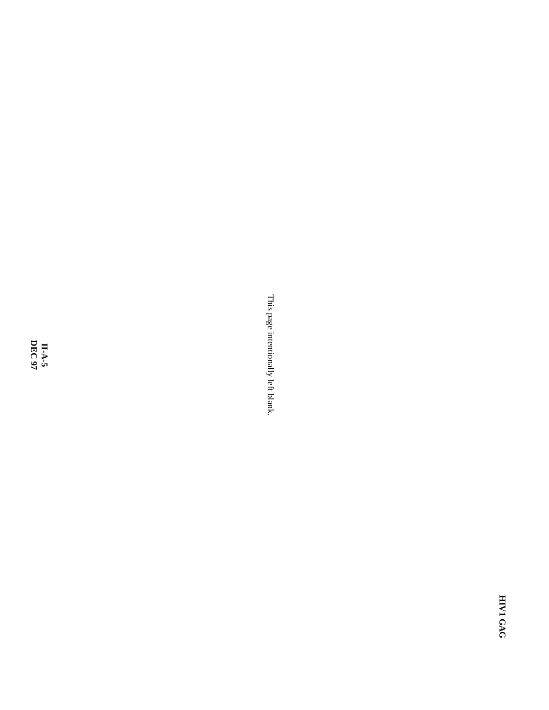**DEC 97 II-A-5**

This page intentionally leftblank.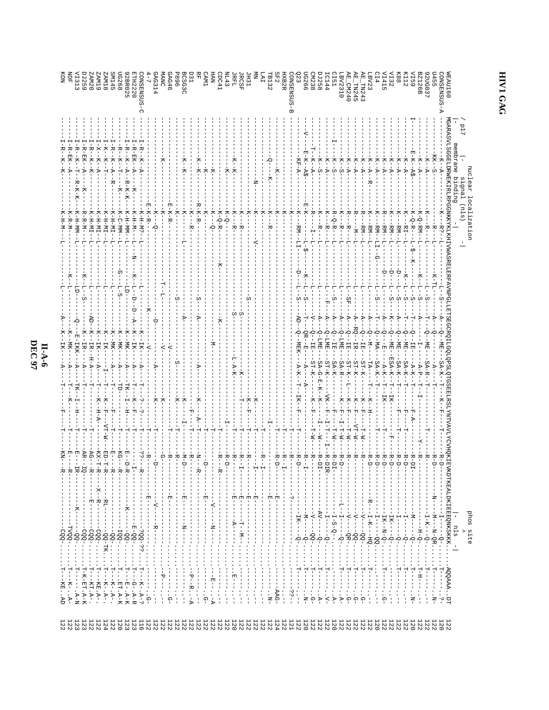#### **II-A-6**<br>DEC 97

| KON<br>КOF<br>8 LMA <sub>Z</sub><br>VI313<br><b>DJ259</b><br>SM145<br>UG268<br><b>COMAZO</b><br><b>6 LMAZ</b>                                                                                                                                                                                 | GAG314<br>GAG46<br><b>P896</b><br><b>BCSG3C</b><br>젂<br>ETH2220<br><b>MANC</b><br>CONSENSUS-C<br>ΞI<br>2BR025                                                                                                                                                                                                                            | <b>CAM1</b><br><b>NAH</b><br>CDC41<br>NLL43<br>JRFL<br><b>JRCSF</b><br>TEHP<br>ĕ<br>LAI<br>SF2<br>HXB2R<br>CONSENSUS<br>TB132                                                                                                                                                         | CI4<br>A1415<br>CM238<br>023<br><b>JG266</b><br><b>AE_TN245</b><br>LBV23<br>AE_TN243<br><b>85256</b><br><b>BV2310</b><br>L244<br>L51<br>CM240                                                                                                                                                                                        | K112<br><b>BZ126B</b><br>VI32<br>65IA<br>U455<br>K88<br>CONSENSUS<br>EAU160<br>20G037                                                                                                                                                                               |
|-----------------------------------------------------------------------------------------------------------------------------------------------------------------------------------------------------------------------------------------------------------------------------------------------|------------------------------------------------------------------------------------------------------------------------------------------------------------------------------------------------------------------------------------------------------------------------------------------------------------------------------------------|---------------------------------------------------------------------------------------------------------------------------------------------------------------------------------------------------------------------------------------------------------------------------------------|--------------------------------------------------------------------------------------------------------------------------------------------------------------------------------------------------------------------------------------------------------------------------------------------------------------------------------------|---------------------------------------------------------------------------------------------------------------------------------------------------------------------------------------------------------------------------------------------------------------------|
| $I-K-$<br>$X - I$<br>$I - R -$<br>$I - R - EK$<br>1 – K – – K – –<br>1-R-EK--<br>$I - R -$<br>.<br>₩<br>- R- - K- -<br>トドー<br>خ<br>$-5$<br>خ<br>آ<br>ъ<br>闩<br>Н<br>н<br>$R-K-K$<br>ᆽ<br>ネー                                                                                                   | 1-R-EK--<br>ローアー・Kー<br>1-R-<br>$-K$<br>K--<br>$K--K-$<br>×<br>ኛ<br>⊅<br>R – K – K                                                                                                                                                                                                                                                        | ω<br>ĸ-<br>Ю<br>₹-<br>Κ-<br>۳<br>주<br>z                                                                                                                                                                                                                                               | <b>ロースーー</b><br>団<br>$-1$ $-1$<br>ŕ<br>K--<br>전<br>₹,<br>$K -$<br>K--<br>주<br>ドー<br>K--<br>K--<br>KF-<br>AS<br>ъ<br>S<br>ъ<br>⊅<br>ъ<br>n<br>w<br>⋗<br>۳<br>ا                                                                                                                                                                        | MGARA SVLGELDEWEK IRLRPGGNKKYKIKHIYWA SREELEE ERVNPGLIJET SPOGCRQILGQDESIQTGGESE LEESILAT STOGSE LEESILAT VAVIYYOYHQKIEYKI<br>F17<br>membrane<br>KK-<br>$-5$<br>$K - A$<br>$K - A$ -<br>.<br>יו<br>.<br>ר¦<br>주<br>$\Delta S$<br>∀−<br>∀−<br>S<br>purpurq<br>signal |
| R-R-M-<br>$K-H-H-H-V$<br><b>K-H-N1H-</b><br>K-H-N1-<br>$K-H-H$<br>$K - C - MN - L$<br>K-H-MI<br>٣<br>٣<br>٣<br>٣                                                                                                                                                                              | ロースーピー<br>R-K-R-<br>団<br>-<br>K-R-<br>∻<br>ネー<br>ネ<br>$K-H-H-H$<br><b>K-H-M?--</b><br>적<br>K-H-MM--<br>주<br>$\frac{1}{\circ}$<br>贵<br>Ļ                                                                                                                                                                                                  | $-7$<br>خ<br>$K -$<br>철<br>₹,<br>K-<br>주<br>$K-Q-R$<br>K-Q-<br>주<br>주<br>전<br>주<br>$\frac{1}{2}$<br>i<br>F<br>₩<br>₩                                                                                                                                                                  | $\overline{X}$<br>호<br>*ך<br>÷<br>⊢<br>ż<br>خ<br>Ϋ́<br>R-<br>R-<br>Κ-<br>۳<br>ᆽ<br>$Q - R -$<br>$\frac{1}{\sqrt{2}}$<br>-RM--L<br>$-RN--L$ -<br>−R<br>$\frac{1}{\lambda}$<br>-RM--LI-<br>-RM--<br>호<br>RM--<br>$-1$ <sup>-</sup><br>$-1 - 1$<br>÷<br>è<br>٣<br>부<br>٣<br>٣<br>ローロ<br>ဂှ                                              | nuclear localization<br>STU<br>ネー<br>Ϋ́<br>$K-Q-RN$ -<br>۶<br>주<br>$K-Q-R-$<br>$-5.5 - -$<br>$-BI$ - $-1$<br>-RM--L-<br>$-RM$ -<br>침<br>÷<br>T<br>부<br>투                                                                                                            |
| ဂု<br>אֽי<br>÷<br>$-L-S$<br>Ę<br>부<br>부<br>부<br>부<br>Ļ<br>C<br>$AD -$<br>۱Ò                                                                                                                                                                                                                   | $\frac{1}{1}$<br>5<br>۲Ì<br>w<br>C<br>ė<br>×<br>⊄<br>∀−<br>∪                                                                                                                                                                                                                                                                             | S<br>S<br>U)<br>ż                                                                                                                                                                                                                                                                     | ė<br>Ģ<br>Ļ<br>Ė,<br>두<br>Ļ<br>투<br>부<br>ᄇ<br>ᄇ<br>Ĥ<br>⊢<br>ᡛ<br>S<br>SF.<br>w<br>m<br>C<br>÷<br>H<br>₹<br>٢<br>۳<br>্য<br>∀−<br>⋗<br>⋗<br>⊅<br>⋗<br>H<br>⋗<br>Ğ<br>ă                                                                                                                                                               | Ļ<br>ė<br>$\frac{1}{2}$<br>אי<br>K – TL<br>٣<br>Ĥ<br>ᡛ<br>S<br>w<br>S<br>w<br>w<br>w<br>w<br>주<br>⋗<br>H<br>⊅<br>н                                                                                                                                                  |
| K<br>-<br><b>K--MK-</b><br>ř<br>$K -$<br>K--<br>٢<br>- EXP-HA<br>$-$ MK $-$<br>-XK-<br>- HR-<br>НÉ<br>$-K-$<br>HR-<br>$-H - H -$<br>ý-<br>→<br>≯<br>$\overline{A}$<br>♭<br>Ъ<br>Ъ<br>ģ<br>TK-<br>Ĥ<br>÷<br>闩<br>보<br>부<br>H                                                                   | K--<br>K-<br>ドー<br>$-MK -$<br>$-K-$<br>$-K-$<br>⊰<br>⋞<br>m<br>Þ<br>Þ<br>ъ<br>ъ<br>부<br>-TK-                                                                                                                                                                                                                                             | ₹<br>L-A-A-K-<br>ਲ਼                                                                                                                                                                                                                                                                   | Q--IE<br><b>B-LME</b><br><b>O-LME</b><br>မှ<br><b>S-LME</b><br>Ю<br>$-1$<br>-MA<br>MEK<br>붑<br>붑<br>HR<br>붑<br>÷<br>団<br>$-LA--$<br>$ST-K-$<br>$SL-K-$<br>$SA-RA-$<br>$ST-K-$<br>$ST-K-$<br>$SA - K - -$<br>$SA-G-E-K-$<br>$SA-K$<br>$ST-K--$<br>$-4 - K - -$<br>Ĥ<br>н<br>⊅<br>부<br>闩                                               | Ю<br>$-$ KHZ<br>」<br>日本<br>」<br>동<br>Š<br>붑<br>呉<br>ESA-K--T<br>$-5A - K - T -$<br>$SA - K - -$<br>$S-A--T--T$<br>SA-R.<br>$L - d - b$<br>$\mathbf{A}-\mathbf{K}$ .<br>н<br>н                                                                                       |
| Ŕ,<br>ΚĻ<br>ند.<br>ا<br>별<br>푸<br>Ŧ<br>$\sum$<br>Н<br>Н<br>⊣<br>н<br>$-50-$<br>변<br>-AR-<br>$-56-$<br>団                                                                                                                                                                                       | K--F-<br>$-5 - 5 -$<br>ķ<br>$\frac{1}{\sqrt{2}}$<br>÷<br>₹,<br>۳<br>푸<br>퍽<br>$-4-$<br>闩<br>변<br>$\ddot{\cdot}$<br>$-N-D$<br>۳<br>Ω<br>R-<br>R-<br>ă<br>전                                                                                                                                                                                | Κ-<br>주<br>Н<br>囡<br>Н<br>H<br>H<br>R-D.<br>R-1<br>ΡĻ<br>$R-D$<br>R-<br>ᄷ<br>ᄷ<br>R<br>!                                                                                                                                                                                              | $VK--F-$<br>IK-<br>$-K^-$<br>$K - F -$<br>۲ļ<br>$K--F-$<br>ř<br>$-7$<br>$K--H--$<br>벌<br>臣<br>면<br>먹<br>ᆏ<br>-1-1<br>ローロー マー<br>$- M - LM$<br>-N-1<br>ーマー<br>부<br>Н<br>부<br>コースー<br>₹<br>z<br>R-D<br>R-i<br>$R-D$ .<br>ᆽ<br>ᆽ<br>Ŗ.<br>$R-D$<br>$R-D$<br>$R-D$ .<br>R-                                                               | IK-<br>혈<br>먹<br>펄<br>피<br>Ą<br>부<br>q<br>R-P<br>R-D.<br>÷<br>⊢<br>$R-D$<br>$R-D$ :<br>R-<br>ドーロ<br>R-D.                                                                                                                                                            |
| $KX-T-F$<br><b>ED-T-R</b><br>⊣.<br>낝<br>Юİ<br>贵<br>능<br>$X--R--$<br>ーロー<br>$-KL$ -<br>$\frac{1}{1}$<br>$-K-1$                                                                                                                                                                                 | ė<br>$-D-F$ .<br>눠<br>贵<br>田----<br>円!<br>内!<br>$-1 - 1 -$<br>$-5$                                                                                                                                                                                                                                                                       | ÷<br>٢<br>부<br>₩<br>トー<br>トー<br>肉十<br>변<br>$-1 - 1 - -$<br>부<br>固<br>면<br>면<br>ن-<br>I                                                                                                                                                                                                | R-DI-<br>R-DIR<br>$R-DI$<br>ę<br>$-\Delta V$ -<br>$-M$ -<br>$-4-$<br>$-K--$<br>$-1$                                                                                                                                                                                                                                                  | <b>JTKEALDKIEEEQNKSKKK</b><br>÷<br>$-LK--$<br>$\mathsf I$<br>$-1$                                                                                                                                                                                                   |
| TVQQ-<br>$-80-$<br>$-0.00 -$<br>$-100-$<br>$-0.00 - 0.0$<br>$-000-$<br>$-200-$<br>$-500 - 1$<br>$-90-TK$<br>$T--K-.R-1$<br>$T$ . ET. A-K<br>$\mathbf{T}--\mathbf{K}--\mathbf{K}--\mathbf{A}--\mathbf{I}$<br>H----<br>H----<br>H---<br>$T--K-.A$<br>H-K-EH. A-K<br>T----XT: A-.<br>H---------- | $-8 - - - -$<br>$-7$<br>$E-QQ-.$<br>$-00-$<br>$-300-23$<br>$\vdots$<br>$T--G-.\,A-R$<br>T---K-.A-?<br>$\overline{a}$<br>$-P$ - $R$ . $-R$<br>$\frac{1}{1}$<br>I<br>ŧ<br>j<br>$-{\bf E}$ – ${\bf A}-{\bf K}$<br>$\begin{array}{c}\n1 \\ 1 \\ 1\n\end{array}$<br>$-1$ $-1$ $-1$<br>$-\frac{1}{2}$<br>$\frac{1}{2}$<br>$\vdots$<br>$\vdots$ | $-7 - - - - - -$<br>-- 2-------<br><b>コーマーコ</b><br>$\vdots$<br>・・円---・・-<br>$-E$ - $-1$ - $-1$<br>J.<br>ţ<br>$\begin{bmatrix} 1 & 1 \\ 1 & 1 \\ 1 & 1 \\ 1 & 1 \end{bmatrix}$<br>$-544G-$<br>$-66 -$<br>$\begin{array}{c} 1 \\ 1 \\ 1 \end{array}$<br>$\frac{1}{2}$<br>$\ddot{\cdot}$ | $-1 - 1 - - - - - - - -$<br>$-V--QR-$<br>$-2 - - - - 0$<br>$-LK-LN-Q$<br>$I-S-Q--$<br>$1-----9--$<br>$-$ --0 <sup>----</sup><br>$-50-0$<br>$-0.00$<br>$-9 - 0 -$<br>$-6 - 0$<br>$-1$<br>$-1$<br>ーー<br>Ļ<br>$\overline{a}$<br>부<br>۲<br>ا<br>۲<br>ا<br>۲<br>ا<br>٦-<br>$\frac{1}{4}$<br>부<br>$-\cdots$ - $\Lambda$ -<br>$\frac{1}{2}$ | phos site<br>$-1$ -----------<br>$M-----Q--$<br>$M--N-QR$ .<br>$I-K--Q--$<br>$1-----Q--$<br>nls<br>$-1 - H - O -$<br>$-9 - 0 -$<br>$\frac{1}{2}$<br><b>AQQAAADT</b><br>-- 1<br>$-1$<br>۲<br>ا<br>-<br>-<br>-<br>-<br>۲<br>ا<br>۲<br>ا<br>$\frac{1}{2}$              |
| 120<br>122<br>122<br>123<br>123<br>122<br>122<br>124<br>122                                                                                                                                                                                                                                   | 123<br>123<br>122<br>122<br>122<br>122<br>116<br>122<br>122<br>122<br>122                                                                                                                                                                                                                                                                | $\frac{1}{\alpha}$ .<br>$-1.14-$<br>÷<br>$122$<br>$122$<br>$122$<br>$122$<br>122<br>122<br>124<br>121<br>120<br>122<br>122<br>122<br>122                                                                                                                                              | $-1.7-$<br>$\cdot$ .<br>$\ddot{\cdot}$<br>$\ldots$ A-<br>$\frac{1}{\rho}$<br>$-1$<br>$\frac{1}{\Omega}$<br>$\frac{1}{9}$<br>ဂု<br>122<br>122<br>$122$<br>$120$<br>120<br>120<br>122<br>122<br>122<br>122<br>122<br>122<br>122                                                                                                        | $\cdot$ $\cdot$ $\sim$<br>$\cdot$ N-<br>ں.<br>ا<br>122<br>120<br>122<br>122<br>122<br>122<br>120<br>$122$<br>122                                                                                                                                                    |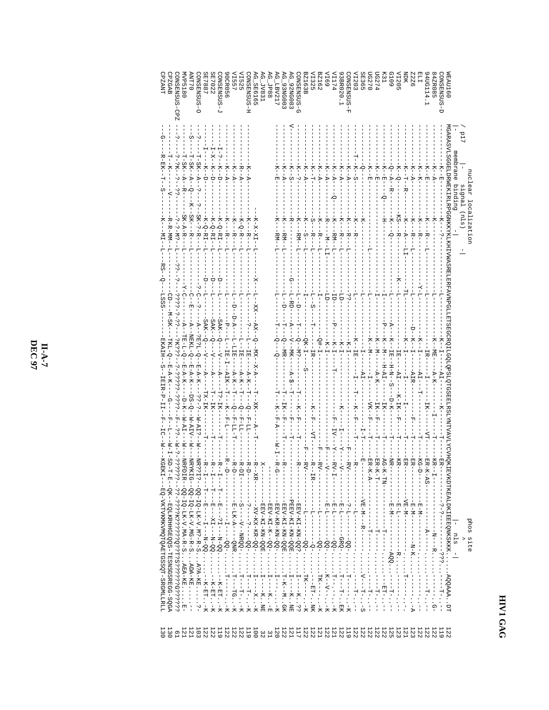| TNAST!                                                                                | CONSENSUS-C<br>CPZGAB                     | WP5180                   |                                                     | O-SOSNERO                          | SE7887                | E7022                                                        | L-SUSNESNO                  | 90CR056    | 7I557                                                                 | <b>71525</b>               | H-SOSNESNOC                               | <b>GOT9ES</b>             | LE8VL_DA               | 1989 <sub>U</sub> | SC_LBV217      | <b>SC_93NG003</b> | <b>AG_92NG083</b>                      | <b>D-SOSNESNO</b>            | BZ163B        | VI325         | <b>BZ162</b>       | VI69                   | <b>71174</b>     | 93BR020.1        | <b>SONSENSUS-F</b> | <b>ZI203</b>                           | <b>SE365</b>               | UG270                                                                                                                                                         | UG274                            | 531                                         | G <sub>109</sub>                                                      | VI205           | NOK                                | 3225      | ELI                           | 940G114.1                     | 84ZR085                     | Q-SOSNESNO;       | <b>EAU160</b>                            |                                      |       |           |
|---------------------------------------------------------------------------------------|-------------------------------------------|--------------------------|-----------------------------------------------------|------------------------------------|-----------------------|--------------------------------------------------------------|-----------------------------|------------|-----------------------------------------------------------------------|----------------------------|-------------------------------------------|---------------------------|------------------------|-------------------|----------------|-------------------|----------------------------------------|------------------------------|---------------|---------------|--------------------|------------------------|------------------|------------------|--------------------|----------------------------------------|----------------------------|---------------------------------------------------------------------------------------------------------------------------------------------------------------|----------------------------------|---------------------------------------------|-----------------------------------------------------------------------|-----------------|------------------------------------|-----------|-------------------------------|-------------------------------|-----------------------------|-------------------|------------------------------------------|--------------------------------------|-------|-----------|
|                                                                                       | $-3 - 3K - -3 - -$                        | $T - SK - -A - -R -$     | $T - SK - -A$                                       | - H-SK--A--                        | - - K - - P           | $I - X - -K - D$                                             | $-K$ -D                     | $-K--A$    | – K – – A                                                             |                            |                                           |                           |                        |                   |                |                   |                                        |                              |               | $K--T$        | $-K--A$            | -K--A                  |                  |                  |                    |                                        |                            | —<br>К – Е                                                                                                                                                    | $-K$ – $-E$                      | $\frac{1}{\sqrt{2}}$                        |                                                                       |                 | - K - - T - - R - -                |           | - K – - K – –                 |                               | -K---A                      |                   | MGARASVLSGGELDRWEKLREGNKKYKLRENNEN       | embrane<br>binding                   | ignal |           |
|                                                                                       | $-1 - 2 - 1 - 7 - 1$                      | $SK - A - R - -I$        | $-R$ $-$                                            | $-5K - 7 - K - -1$                 | -K-Q-RI--L-           | $-K-C-RTI-I.$                                                | $-K-C$<br>$-K-C$            | K---H-H--  | --B----F                                                              | $K-Q-R-$                   | $-$ B <sup>-</sup>                        | $-2X-X$                   |                        |                   | - EM-          |                   |                                        | $-RM - -I$                   | $-S$ ---1     | $-K--LI$      | $-R$ - $-L$ -      | $- -M - T$             | $-RM - -L$       | --R----L-        | -- R----L-         |                                        |                            |                                                                                                                                                               |                                  |                                             |                                                                       | $KS$ --- $R$ -- | $- -A - -I I I$                    | $-$ B $-$ | - K – – – K – –               | -<br>K---<br>F-               |                             |                   |                                          |                                      |       |           |
|                                                                                       |                                           |                          |                                                     |                                    |                       |                                                              |                             |            |                                                                       |                            |                                           |                           |                        |                   |                |                   | - RD-                                  |                              |               |               |                    |                        |                  |                  |                    |                                        |                            |                                                                                                                                                               |                                  |                                             |                                                                       |                 |                                    |           |                               |                               |                             |                   | <b>LERENDEL</b>                          |                                      |       |           |
|                                                                                       | -- 252334-3-33334-3333-                   | - TE-1-Q--E-A-K----U-K-- | $-\mathbf{A}$                                       |                                    | $-SAR--O---V--$       | $- S A K - -C - - -Y - - -Y - -$                             | $-SAR--Q---V--$             | $-1$       | - - ビ - - D - - D - - A - - - ビ - ビ - H - I - I -<br>$-7 - 7 - 7 - 7$ | $L = -1E$<br>$-K-$         | $\frac{1}{1}$<br>- A-K--                  |                           |                        |                   | 부              | -0--RB---         | ÷<br>P<br>- - V - - MK - - - - A - - - | $-6 - 6 - - 6 -$             | $-9K - 1 - -$ | $-1R - 1$     | $-1$ - $-1$ - $+0$ | $-K - I - -$           | $-1 - K - H - 1$ | $-1 - K - H - 1$ | $-1$ $-1$ $-1$     | - K - - H H - -<br>$-1$ $-1$           | $-1 - 1 - 1$<br>--- AI --- | $-1$ K $-1$                                                                                                                                                   | $-5 - 5 - 5$<br>$-1 - 2 - 1 - 1$ | - K – – M – – – H – A H – – –               | - K - - 1 E - - H - N - - S - - - D - K - -                           | $-1 - 2I - -$   | - K – H – –<br>$-1$ $-1$ $-1$ $-1$ | -- AIR--- | $-1 - 1 - 1 - 1$<br>-- AI --- | -IR-                          | $- K - 200$<br>$-7$ -K $-1$ |                   | ET SECROILLGQLQP SLQPSELRSLINTVAVLYCVHQK |                                      |       |           |
|                                                                                       |                                           | $M - M = - - T + M$      | $NEXL1 - Q - R - R - R - R - R - R - R - R - R - R$ |                                    | $-R$ ----- $TX$ -IK-- | - T - - T X - -                                              | - - A - - - - H Z - H X - - |            |                                                                       |                            | $-1$                                      |                           |                        |                   | $-\Delta -$    |                   | 부<br>÷.                                | $-K--$                       | 펄             | - K - - H - - | ÷<br>ا             | 면                      |                  |                  |                    |                                        | - 1<br>- 1                 | $-1$ $-1$ $-1$ $-1$ $-1$ $-1$ $-1$                                                                                                                            | $-1 - 27 - 5$                    | $-1K - 1$                                   |                                                                       |                 |                                    |           |                               |                               |                             |                   |                                          |                                      |       |           |
|                                                                                       |                                           |                          |                                                     | $-$ NH                             |                       | Ηņ                                                           | ا<br>א<br>H----H----        | ÷<br>¦     | - - H - - - - - - -                                                   | $-\mathbb{R}^{-}$<br>$-10$ | $\frac{1}{\mathcal{B}}$<br>$-1$           | -R--XR--                  | $X - - - - - - - -$    |                   | $- -B - G - -$ | $- B -$           |                                        | i<br>!                       |               | - IR-         | $-RN$ –            |                        | $-1$             |                  | -RV                |                                        | 변                          | – ER-<br><b>K-A---------</b>                                                                                                                                  | <b>K-H----</b>                   | <b>K-17Z-1</b>                              | -NR.                                                                  |                 | – ER.                              | 貞         |                               | ER<br>天<br>$K - ASS$ -        | $-1 - 1 - 1$                |                   |                                          |                                      |       |           |
| KGEKI----EQ-VKTVKMKVMQTQAETGSSQT-SRGMLLRLL<br>T-E-F-OK--BOOKERHHGEOOS-TESNSGSREG-SQGA | H-323333333333333333333333333333335333333 |                          |                                                     | ?I?--QQ-IQ-LK-N. A?A-KE. 2.A-XE. 2 |                       | - 1 - - - 1 - - - E - - - X - - - - N - QQ - - K - E - E - K |                             |            |                                                                       | S-----Y--NROQ-ㅋ---ㅋ------  |                                           | - - xx - kx - kx - co - - | --BEV-RH-RN-QQB----RNE |                   | EEV-KR-KN-QQ-  |                   | -- BERV-KN-QQE                         | -- EEV-KI-KN-QQ3             | $-50$ - $-9$  |               |                    | $-1 - 24 = -1 - 1 - 1$ |                  |                  |                    | エーエーエピエーエーエーエーエーエム たたたた エーエーエー 同士 たたます |                            |                                                                                                                                                               |                                  |                                             | - − E − M − − − − − − − − − − − − A Q Q ・ ・ - − − − − − − − − − − − − |                 | $- - \nabla E - M - - - -$         |           |                               |                               |                             | $- - 2 - 5 - - -$ | EVKOHKEALDKIEERONKSKKK  AQQAAADT         | $\mathbb{I}$<br>nls<br>$\frac{1}{2}$ |       | phos site |
|                                                                                       |                                           |                          |                                                     |                                    |                       |                                                              |                             |            |                                                                       |                            |                                           | $X - - - -X$ . $X - - -K$ |                        |                   |                |                   |                                        | $\frac{1}{2}$<br>- I----- K. | $-LK----K$    |               |                    |                        |                  |                  |                    |                                        |                            | $\frac{1}{2}$ , $\frac{1}{2}$ , $\frac{1}{2}$ , $\frac{1}{2}$ , $\frac{1}{2}$ , $\frac{1}{2}$ , $\frac{1}{2}$ , $\frac{1}{2}$ , $\frac{1}{2}$ , $\frac{1}{2}$ | エーエー ローエーエー・シーン シーエーエー ローシンエー    | - - - - - - - - - - - - - - - - - -         |                                                                       |                 | コココココ しんいいい 相手 エココード・エム            |           | $\frac{1}{1}$                 | エーエーシー エーエー・・・・・・ エーエー ロー・・エー |                             |                   |                                          |                                      |       |           |
| $\frac{1}{20}$                                                                        | 130<br>$\overline{L}$                     | 121                      | <b>121</b>                                          | 103                                | <b>122</b>            | <b>122</b>                                                   | 119                         | <b>122</b> | 122                                                                   |                            | $\begin{array}{l} 119 \\ 222 \end{array}$ |                           |                        |                   | 120            | <b>122</b>        | <b>121</b>                             | 117                          | <b>122</b>    | <b>122</b>    | 121                | <b>122</b>             | 121              | 122              | 119                | <b>122</b>                             |                            |                                                                                                                                                               | $1122$<br>$1222$                 | $\begin{array}{c} 1.25 \\ 1.22 \end{array}$ |                                                                       | 123             | $123$<br>$121$                     |           | 122                           | 122                           | <b>122</b>                  | 119               | $\overline{z}$                           |                                      |       |           |

 $\frac{H-A-7}{\text{DEC }97}$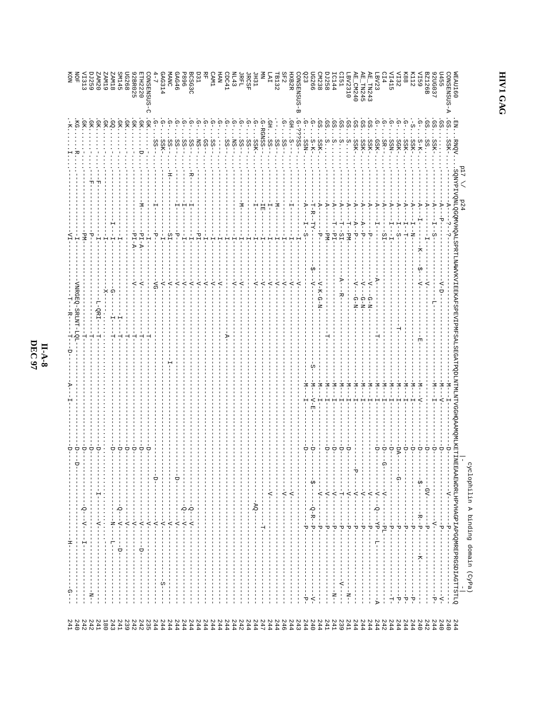#### **II-A-8**<br>DEC 97

| GSK-<br>SSK-<br>친<br>Ξ<br>٣ŋ<br>퍽<br>—<br>≍<br>Ъ<br>Ъ<br>Σ<br>Ξ<br>H<br>H<br>⊅<br>$\overline{Y}$<br>⊅<br>ъ<br>⊅<br>⊅<br>⊅<br>ъ<br>⊅<br>⊅<br>⋗<br>⊅<br>н<br>Н<br>н<br>Н<br>ኴ<br>⊅<br>r-R--<br>$-LI -$<br>$-L$ – $-2I$ –<br>-<br>-<br>-<br>-<br>-<br>-<br>-<br><br>-<br>÷<br>÷<br>$-A--P-$<br>$\mathbb{A}^{-}$<br>Ĥ<br>H<br>-b-<br>÷<br>$-Ld-$<br>÷<br>ή.<br>$-M=$<br>$A - T - A$<br>$-14-$<br>ャー<br>÷<br>$-51$<br>ャ<br>÷<br>$-51-$<br>-Md-<br>ź<br>÷<br>Ċ۵<br>i<br>T<br>Ĥ<br>Н<br>н<br>٢<br>-01<br>$\frac{5}{1}$<br>$\prec$<br>$-\Delta$ -<br>A-<br>$-\Delta$ -<br>$\prec$<br>$-50-$<br>$-\Delta$ -<br>$-\Delta$ -<br>$\overline{\phantom{a}}$<br>$\overline{\zeta}$<br>$\overline{\phantom{a}}$<br>$-\Delta$ -<br>$\overline{\phantom{a}}$<br>$-\Delta$ -<br>₹<br>$-\Delta$ -<br>$\overline{\zeta}$<br>$\overline{Y}$<br>$\overline{z}$<br>$\stackrel{+}{\sim}$<br>$\overline{z}$<br>$\overline{z}$<br>$N-N-K-K-K$<br>$\overline{\zeta}$<br>$\overline{\zeta}$<br>╬<br>$\overline{z}$<br>$\overline{\zeta}$<br>₹<br>VNRGEQ-SRLNT-LQL<br>ဂှ<br>÷<br>⊦<br>$-5$<br>$-5 - N -$<br>$-5 - N -$<br>$-L-QRT-$<br>진<br>÷<br>۲I<br>⊣<br>부<br>휴<br>÷<br>부<br>÷<br>÷<br>闩<br>부<br>闩<br>団<br>C<br>$\overline{\mathbb{R}}$<br>÷≒<br>−<br>F<br>÷⊾<br>$\frac{1}{2}$<br>÷<br>÷⊾<br>−<br>F<br>$\frac{1}{2}$<br>⊰ี<br>⊰ี่<br>÷⊾<br>≑ี่<br>₿<br>₹<br>₹<br>$\sum -E$<br>₫<br>Ţ<br>Ļ<br>Ļ<br>ė<br>Ó<br>p<br>PA<br>P<br>p<br>à<br>à<br>À<br>p<br>U<br>à<br>à<br>무<br>à<br>à<br>p<br>Δ<br>Δ<br>∪<br>੮<br>à<br>Δ<br>ှု<br>$\frac{1}{1}$<br>ーー<br>$-2$<br>$- - - - - - - - -$<br>J<br>$\frac{1}{1}$<br>$- - - - - - - - -$<br>$-1 - 2 - 6 - 1 - 2 - 1 - 1 - 1 - 1$<br>$- - - - - - - -$<br>$-1 - 1 - - - - - - - - - -$<br>$- - \Lambda - -$<br>$- - \Lambda - -$<br>$- -\Lambda - -$<br>$-1 - 1 - -$<br>$-60 - -1$<br>$- - - - - - - - -$<br>$\frac{1}{1}$<br>$-1$ - $-1$<br>$\frac{1}{1}$<br>$\mathsf I$<br>$\mathsf I$<br>$\,$ I<br>$-4 - 1 - 1$<br>$\mathbb{L}$<br>$-1$ - $-1$ - $-1$ - $-1$ - $-1$ - $-1$<br>$-1$<br>$\begin{bmatrix} 1 \\ 1 \\ 1 \\ 1 \end{bmatrix}$<br>$---AQ---$<br>ł<br>$\frac{1}{1}$<br>$\mathbb{L}$<br>$\frac{1}{1}$<br>$\begin{bmatrix} 1 \\ 1 \\ 1 \end{bmatrix}$<br>J.<br>J.<br>$\overline{\phantom{a}}$<br>$\frac{1}{1}$<br>$- -\Delta - - -\Delta - -$<br>$\mathbf{I}$<br>$\mathbf{I}$<br>$- -2 - - - - - - - -$<br>j<br>т<br>-<br>$-0$<br>$- -$ B--P--<br>$\mathsf I$<br>$- - - - - - - - -$<br>$- - - - - - - - - - -$<br>$- - - - - - - -$<br>$\begin{bmatrix} 1 \\ 1 \\ 1 \\ 1 \end{bmatrix}$<br>т<br>J<br>J<br>$\overline{\phantom{a}}$<br>T<br>I<br>т<br>T<br>J,<br>J.<br>$- - - - - - - -$<br>$-1 - \Delta -$<br>$-1 - 1 - -$<br>$\frac{1}{1}$<br>$---EI---$<br>$-1$<br>$-1$ $N - 1$<br>$-1$ - $-1$<br>$-\Delta$ -<br>T<br>Ţ<br>J<br>-1<br>I<br>$\mathbf{I}$<br>$\mathbf{I}$<br>$-1 - \Delta -$<br>$\frac{1}{1}$<br>$-1 - p -$<br>$- -p - -$<br>-<br>$- -p - -$<br>$-1 - p -$<br>$\mathbf{I}$<br>$-4-$<br>$-1$<br>$-5 -$<br>ーリー<br>$-1$<br>$\overline{a}$<br>$-\frac{1}{2}$<br>ţ<br>Ţ<br>Ţ.<br>$\frac{1}{1}$<br>$\frac{1}{1}$<br>ן<br>די<br>$\frac{1}{1}$<br>$\mathbf{I}$<br>ł<br>$\begin{array}{c} 1 \\ 1 \\ 1 \end{array}$<br>$\frac{1}{4}$<br>$\mathbf{I}$<br>$\mathbf{I}$<br>$\mathbf{I}$<br>-1<br>$\frac{1}{1}$<br>$\mathbf{I}$<br>Ť<br>$\mathbb{I}$<br>$\mathbf I$<br>$\mathbb{I}$<br>$\mathbf{I}$<br>Ť<br>$\mathsf I$<br>$\mathbf I$<br>$\mathsf I$<br>$\mathsf I$<br>$\mathbf{I}$<br>$\mathbf{I}$<br>$\mathbf{I}$<br>$\mathbf{I}$<br>$\mathbf{I}$<br>$\blacksquare$<br>$\mathbf{I}$<br>$\blacksquare$<br>$\mathbf{I}$<br>$\mathbb I$<br>$\frac{1}{1}$<br>$\frac{1}{1}$<br>$\frac{1}{1}$<br>$\mathbf{I}$<br>п<br>J.<br>- - - - - - - - -<br>$\frac{1}{1}$<br>$\frac{1}{1}$<br>-1<br>ł<br>$\frac{1}{1}$<br>ł<br>$\begin{bmatrix} 1 \\ 1 \\ 1 \\ 1 \end{bmatrix}$<br>$\begin{bmatrix} 1 & 1 \\ 1 & 1 \\ 1 & 1 \end{bmatrix}$<br>$\begin{array}{c} 1 \\ 1 \\ 1 \\ 1 \end{array}$<br>$\begin{array}{c} 1 \\ 1 \\ 1 \end{array}$<br>$\begin{array}{c} 1 \\ 1 \\ 1 \\ 1 \end{array}$<br>Ţ<br>$\frac{1}{4}$<br>$\frac{1}{1}$<br>$- - - - - - - - - -$<br>п<br>$\frac{1}{1}$<br>ł<br>$\mathbf{I}$<br>Ť<br>ł<br>-<br>ł<br>п<br>$\frac{1}{1}$<br>$\begin{bmatrix} 1 \\ 1 \\ 1 \\ 1 \end{bmatrix}$<br>$-S -$<br>$\frac{1}{1}$<br>I<br>I<br>$\begin{bmatrix} 1 \\ 1 \\ 1 \\ 1 \end{bmatrix}$<br>$\begin{array}{c} 1 \\ 1 \\ 1 \end{array}$<br>$\frac{1}{1}$<br>$\frac{1}{1}$<br>ーーーート<br>I<br>$\begin{array}{c} 1 \\ 1 \\ 1 \end{array}$<br>$-1 - N -$<br>$\begin{array}{c} 1 \\ 1 \\ 1 \end{array}$<br>I<br>п<br>I<br>I<br>$\frac{1}{1}$<br>$-1$<br>$\frac{1}{1}$<br>$\frac{1}{1}$<br>$\frac{1}{1}$<br>ł<br>$\frac{1}{4}$<br>$-1$<br>$-4-$<br>ł<br>í<br>п<br>J<br>$\frac{1}{1}$<br>$\frac{1}{1}$<br>$-1$<br>$-4-$<br>ŧ<br>Ť<br>Ť<br>Ť.<br>÷<br>÷<br>고 | G-RGNSS-<br>$\ldots$ SS .<br>$-SSK-$<br>$-55-$<br>$-ss-$<br>- 32-<br>SSK-<br>$-ss-$<br>$-55-$<br>.<br>SS-<br>$-$ SN $-$<br>- 85 -<br>$\frac{1}{2}$<br>.<br>25-<br>- SS-<br>.<br>32-<br>$-55 -$<br>$-SNI$<br>SS- |  |
|----------------------------------------------------------------------------------------------------------------------------------------------------------------------------------------------------------------------------------------------------------------------------------------------------------------------------------------------------------------------------------------------------------------------------------------------------------------------------------------------------------------------------------------------------------------------------------------------------------------------------------------------------------------------------------------------------------------------------------------------------------------------------------------------------------------------------------------------------------------------------------------------------------------------------------------------------------------------------------------------------------------------------------------------------------------------------------------------------------------------------------------------------------------------------------------------------------------------------------------------------------------------------------------------------------------------------------------------------------------------------------------------------------------------------------------------------------------------------------------------------------------------------------------------------------------------------------------------------------------------------------------------------------------------------------------------------------------------------------------------------------------------------------------------------------------------------------------------------------------------------------------------------------------------------------------------------------------------------------------------------------------------------------------------------------------------------------------------------------------------------------------------------------------------------------------------------------------------------------------------------------------------------------------------------------------------------------------------------------------------------------------------------------------------------------------------------------------------------------------------------------------------------------------------------------------------------------------------------------------------------------------------------------------------------------------------------------------------------------------------------------------------------------------------------------------------------------------------------------------------------------------------------------------------------------------------------------------------------------------------------------------------------------------------------------------------------------------------------------------------------------------------------------------------------------------------------------------------------------------------------------------------------------------------------------------------------------------------------------------------------------------------------------------------------------------------------------------------------------------------------------------------------------------------------------------------------------------------------------------------------------------------------------------------------------------------------------------------------------------------------------------------------------------------------------------------------------------------------------------------------------------------------------------------------------------------------------------------------------------------------------------------------------------------------------------------------------------------------------------------------------------------------------------------------------------------------------------------------------------------------------------------------------------------------------------------------------------------------------------------------------------------------------------------------------------------------------------------------------------------------------------------------------------------------------------------------------------------------------------------------------------------------------------------------------------------------------------------------------------------------------------|-----------------------------------------------------------------------------------------------------------------------------------------------------------------------------------------------------------------|--|
|                                                                                                                                                                                                                                                                                                                                                                                                                                                                                                                                                                                                                                                                                                                                                                                                                                                                                                                                                                                                                                                                                                                                                                                                                                                                                                                                                                                                                                                                                                                                                                                                                                                                                                                                                                                                                                                                                                                                                                                                                                                                                                                                                                                                                                                                                                                                                                                                                                                                                                                                                                                                                                                                                                                                                                                                                                                                                                                                                                                                                                                                                                                                                                                                                                                                                                                                                                                                                                                                                                                                                                                                                                                                                                                                                                                                                                                                                                                                                                                                                                                                                                                                                                                                                                                                                                                                                                                                                                                                                                                                                                                                                                                                                                                                                                |                                                                                                                                                                                                                 |  |
|                                                                                                                                                                                                                                                                                                                                                                                                                                                                                                                                                                                                                                                                                                                                                                                                                                                                                                                                                                                                                                                                                                                                                                                                                                                                                                                                                                                                                                                                                                                                                                                                                                                                                                                                                                                                                                                                                                                                                                                                                                                                                                                                                                                                                                                                                                                                                                                                                                                                                                                                                                                                                                                                                                                                                                                                                                                                                                                                                                                                                                                                                                                                                                                                                                                                                                                                                                                                                                                                                                                                                                                                                                                                                                                                                                                                                                                                                                                                                                                                                                                                                                                                                                                                                                                                                                                                                                                                                                                                                                                                                                                                                                                                                                                                                                |                                                                                                                                                                                                                 |  |
|                                                                                                                                                                                                                                                                                                                                                                                                                                                                                                                                                                                                                                                                                                                                                                                                                                                                                                                                                                                                                                                                                                                                                                                                                                                                                                                                                                                                                                                                                                                                                                                                                                                                                                                                                                                                                                                                                                                                                                                                                                                                                                                                                                                                                                                                                                                                                                                                                                                                                                                                                                                                                                                                                                                                                                                                                                                                                                                                                                                                                                                                                                                                                                                                                                                                                                                                                                                                                                                                                                                                                                                                                                                                                                                                                                                                                                                                                                                                                                                                                                                                                                                                                                                                                                                                                                                                                                                                                                                                                                                                                                                                                                                                                                                                                                |                                                                                                                                                                                                                 |  |
|                                                                                                                                                                                                                                                                                                                                                                                                                                                                                                                                                                                                                                                                                                                                                                                                                                                                                                                                                                                                                                                                                                                                                                                                                                                                                                                                                                                                                                                                                                                                                                                                                                                                                                                                                                                                                                                                                                                                                                                                                                                                                                                                                                                                                                                                                                                                                                                                                                                                                                                                                                                                                                                                                                                                                                                                                                                                                                                                                                                                                                                                                                                                                                                                                                                                                                                                                                                                                                                                                                                                                                                                                                                                                                                                                                                                                                                                                                                                                                                                                                                                                                                                                                                                                                                                                                                                                                                                                                                                                                                                                                                                                                                                                                                                                                |                                                                                                                                                                                                                 |  |
|                                                                                                                                                                                                                                                                                                                                                                                                                                                                                                                                                                                                                                                                                                                                                                                                                                                                                                                                                                                                                                                                                                                                                                                                                                                                                                                                                                                                                                                                                                                                                                                                                                                                                                                                                                                                                                                                                                                                                                                                                                                                                                                                                                                                                                                                                                                                                                                                                                                                                                                                                                                                                                                                                                                                                                                                                                                                                                                                                                                                                                                                                                                                                                                                                                                                                                                                                                                                                                                                                                                                                                                                                                                                                                                                                                                                                                                                                                                                                                                                                                                                                                                                                                                                                                                                                                                                                                                                                                                                                                                                                                                                                                                                                                                                                                |                                                                                                                                                                                                                 |  |
|                                                                                                                                                                                                                                                                                                                                                                                                                                                                                                                                                                                                                                                                                                                                                                                                                                                                                                                                                                                                                                                                                                                                                                                                                                                                                                                                                                                                                                                                                                                                                                                                                                                                                                                                                                                                                                                                                                                                                                                                                                                                                                                                                                                                                                                                                                                                                                                                                                                                                                                                                                                                                                                                                                                                                                                                                                                                                                                                                                                                                                                                                                                                                                                                                                                                                                                                                                                                                                                                                                                                                                                                                                                                                                                                                                                                                                                                                                                                                                                                                                                                                                                                                                                                                                                                                                                                                                                                                                                                                                                                                                                                                                                                                                                                                                |                                                                                                                                                                                                                 |  |
|                                                                                                                                                                                                                                                                                                                                                                                                                                                                                                                                                                                                                                                                                                                                                                                                                                                                                                                                                                                                                                                                                                                                                                                                                                                                                                                                                                                                                                                                                                                                                                                                                                                                                                                                                                                                                                                                                                                                                                                                                                                                                                                                                                                                                                                                                                                                                                                                                                                                                                                                                                                                                                                                                                                                                                                                                                                                                                                                                                                                                                                                                                                                                                                                                                                                                                                                                                                                                                                                                                                                                                                                                                                                                                                                                                                                                                                                                                                                                                                                                                                                                                                                                                                                                                                                                                                                                                                                                                                                                                                                                                                                                                                                                                                                                                |                                                                                                                                                                                                                 |  |
|                                                                                                                                                                                                                                                                                                                                                                                                                                                                                                                                                                                                                                                                                                                                                                                                                                                                                                                                                                                                                                                                                                                                                                                                                                                                                                                                                                                                                                                                                                                                                                                                                                                                                                                                                                                                                                                                                                                                                                                                                                                                                                                                                                                                                                                                                                                                                                                                                                                                                                                                                                                                                                                                                                                                                                                                                                                                                                                                                                                                                                                                                                                                                                                                                                                                                                                                                                                                                                                                                                                                                                                                                                                                                                                                                                                                                                                                                                                                                                                                                                                                                                                                                                                                                                                                                                                                                                                                                                                                                                                                                                                                                                                                                                                                                                |                                                                                                                                                                                                                 |  |
|                                                                                                                                                                                                                                                                                                                                                                                                                                                                                                                                                                                                                                                                                                                                                                                                                                                                                                                                                                                                                                                                                                                                                                                                                                                                                                                                                                                                                                                                                                                                                                                                                                                                                                                                                                                                                                                                                                                                                                                                                                                                                                                                                                                                                                                                                                                                                                                                                                                                                                                                                                                                                                                                                                                                                                                                                                                                                                                                                                                                                                                                                                                                                                                                                                                                                                                                                                                                                                                                                                                                                                                                                                                                                                                                                                                                                                                                                                                                                                                                                                                                                                                                                                                                                                                                                                                                                                                                                                                                                                                                                                                                                                                                                                                                                                |                                                                                                                                                                                                                 |  |
|                                                                                                                                                                                                                                                                                                                                                                                                                                                                                                                                                                                                                                                                                                                                                                                                                                                                                                                                                                                                                                                                                                                                                                                                                                                                                                                                                                                                                                                                                                                                                                                                                                                                                                                                                                                                                                                                                                                                                                                                                                                                                                                                                                                                                                                                                                                                                                                                                                                                                                                                                                                                                                                                                                                                                                                                                                                                                                                                                                                                                                                                                                                                                                                                                                                                                                                                                                                                                                                                                                                                                                                                                                                                                                                                                                                                                                                                                                                                                                                                                                                                                                                                                                                                                                                                                                                                                                                                                                                                                                                                                                                                                                                                                                                                                                |                                                                                                                                                                                                                 |  |
|                                                                                                                                                                                                                                                                                                                                                                                                                                                                                                                                                                                                                                                                                                                                                                                                                                                                                                                                                                                                                                                                                                                                                                                                                                                                                                                                                                                                                                                                                                                                                                                                                                                                                                                                                                                                                                                                                                                                                                                                                                                                                                                                                                                                                                                                                                                                                                                                                                                                                                                                                                                                                                                                                                                                                                                                                                                                                                                                                                                                                                                                                                                                                                                                                                                                                                                                                                                                                                                                                                                                                                                                                                                                                                                                                                                                                                                                                                                                                                                                                                                                                                                                                                                                                                                                                                                                                                                                                                                                                                                                                                                                                                                                                                                                                                |                                                                                                                                                                                                                 |  |
|                                                                                                                                                                                                                                                                                                                                                                                                                                                                                                                                                                                                                                                                                                                                                                                                                                                                                                                                                                                                                                                                                                                                                                                                                                                                                                                                                                                                                                                                                                                                                                                                                                                                                                                                                                                                                                                                                                                                                                                                                                                                                                                                                                                                                                                                                                                                                                                                                                                                                                                                                                                                                                                                                                                                                                                                                                                                                                                                                                                                                                                                                                                                                                                                                                                                                                                                                                                                                                                                                                                                                                                                                                                                                                                                                                                                                                                                                                                                                                                                                                                                                                                                                                                                                                                                                                                                                                                                                                                                                                                                                                                                                                                                                                                                                                |                                                                                                                                                                                                                 |  |
|                                                                                                                                                                                                                                                                                                                                                                                                                                                                                                                                                                                                                                                                                                                                                                                                                                                                                                                                                                                                                                                                                                                                                                                                                                                                                                                                                                                                                                                                                                                                                                                                                                                                                                                                                                                                                                                                                                                                                                                                                                                                                                                                                                                                                                                                                                                                                                                                                                                                                                                                                                                                                                                                                                                                                                                                                                                                                                                                                                                                                                                                                                                                                                                                                                                                                                                                                                                                                                                                                                                                                                                                                                                                                                                                                                                                                                                                                                                                                                                                                                                                                                                                                                                                                                                                                                                                                                                                                                                                                                                                                                                                                                                                                                                                                                |                                                                                                                                                                                                                 |  |
|                                                                                                                                                                                                                                                                                                                                                                                                                                                                                                                                                                                                                                                                                                                                                                                                                                                                                                                                                                                                                                                                                                                                                                                                                                                                                                                                                                                                                                                                                                                                                                                                                                                                                                                                                                                                                                                                                                                                                                                                                                                                                                                                                                                                                                                                                                                                                                                                                                                                                                                                                                                                                                                                                                                                                                                                                                                                                                                                                                                                                                                                                                                                                                                                                                                                                                                                                                                                                                                                                                                                                                                                                                                                                                                                                                                                                                                                                                                                                                                                                                                                                                                                                                                                                                                                                                                                                                                                                                                                                                                                                                                                                                                                                                                                                                |                                                                                                                                                                                                                 |  |
|                                                                                                                                                                                                                                                                                                                                                                                                                                                                                                                                                                                                                                                                                                                                                                                                                                                                                                                                                                                                                                                                                                                                                                                                                                                                                                                                                                                                                                                                                                                                                                                                                                                                                                                                                                                                                                                                                                                                                                                                                                                                                                                                                                                                                                                                                                                                                                                                                                                                                                                                                                                                                                                                                                                                                                                                                                                                                                                                                                                                                                                                                                                                                                                                                                                                                                                                                                                                                                                                                                                                                                                                                                                                                                                                                                                                                                                                                                                                                                                                                                                                                                                                                                                                                                                                                                                                                                                                                                                                                                                                                                                                                                                                                                                                                                |                                                                                                                                                                                                                 |  |
|                                                                                                                                                                                                                                                                                                                                                                                                                                                                                                                                                                                                                                                                                                                                                                                                                                                                                                                                                                                                                                                                                                                                                                                                                                                                                                                                                                                                                                                                                                                                                                                                                                                                                                                                                                                                                                                                                                                                                                                                                                                                                                                                                                                                                                                                                                                                                                                                                                                                                                                                                                                                                                                                                                                                                                                                                                                                                                                                                                                                                                                                                                                                                                                                                                                                                                                                                                                                                                                                                                                                                                                                                                                                                                                                                                                                                                                                                                                                                                                                                                                                                                                                                                                                                                                                                                                                                                                                                                                                                                                                                                                                                                                                                                                                                                |                                                                                                                                                                                                                 |  |
|                                                                                                                                                                                                                                                                                                                                                                                                                                                                                                                                                                                                                                                                                                                                                                                                                                                                                                                                                                                                                                                                                                                                                                                                                                                                                                                                                                                                                                                                                                                                                                                                                                                                                                                                                                                                                                                                                                                                                                                                                                                                                                                                                                                                                                                                                                                                                                                                                                                                                                                                                                                                                                                                                                                                                                                                                                                                                                                                                                                                                                                                                                                                                                                                                                                                                                                                                                                                                                                                                                                                                                                                                                                                                                                                                                                                                                                                                                                                                                                                                                                                                                                                                                                                                                                                                                                                                                                                                                                                                                                                                                                                                                                                                                                                                                |                                                                                                                                                                                                                 |  |
|                                                                                                                                                                                                                                                                                                                                                                                                                                                                                                                                                                                                                                                                                                                                                                                                                                                                                                                                                                                                                                                                                                                                                                                                                                                                                                                                                                                                                                                                                                                                                                                                                                                                                                                                                                                                                                                                                                                                                                                                                                                                                                                                                                                                                                                                                                                                                                                                                                                                                                                                                                                                                                                                                                                                                                                                                                                                                                                                                                                                                                                                                                                                                                                                                                                                                                                                                                                                                                                                                                                                                                                                                                                                                                                                                                                                                                                                                                                                                                                                                                                                                                                                                                                                                                                                                                                                                                                                                                                                                                                                                                                                                                                                                                                                                                |                                                                                                                                                                                                                 |  |
|                                                                                                                                                                                                                                                                                                                                                                                                                                                                                                                                                                                                                                                                                                                                                                                                                                                                                                                                                                                                                                                                                                                                                                                                                                                                                                                                                                                                                                                                                                                                                                                                                                                                                                                                                                                                                                                                                                                                                                                                                                                                                                                                                                                                                                                                                                                                                                                                                                                                                                                                                                                                                                                                                                                                                                                                                                                                                                                                                                                                                                                                                                                                                                                                                                                                                                                                                                                                                                                                                                                                                                                                                                                                                                                                                                                                                                                                                                                                                                                                                                                                                                                                                                                                                                                                                                                                                                                                                                                                                                                                                                                                                                                                                                                                                                |                                                                                                                                                                                                                 |  |
|                                                                                                                                                                                                                                                                                                                                                                                                                                                                                                                                                                                                                                                                                                                                                                                                                                                                                                                                                                                                                                                                                                                                                                                                                                                                                                                                                                                                                                                                                                                                                                                                                                                                                                                                                                                                                                                                                                                                                                                                                                                                                                                                                                                                                                                                                                                                                                                                                                                                                                                                                                                                                                                                                                                                                                                                                                                                                                                                                                                                                                                                                                                                                                                                                                                                                                                                                                                                                                                                                                                                                                                                                                                                                                                                                                                                                                                                                                                                                                                                                                                                                                                                                                                                                                                                                                                                                                                                                                                                                                                                                                                                                                                                                                                                                                |                                                                                                                                                                                                                 |  |
|                                                                                                                                                                                                                                                                                                                                                                                                                                                                                                                                                                                                                                                                                                                                                                                                                                                                                                                                                                                                                                                                                                                                                                                                                                                                                                                                                                                                                                                                                                                                                                                                                                                                                                                                                                                                                                                                                                                                                                                                                                                                                                                                                                                                                                                                                                                                                                                                                                                                                                                                                                                                                                                                                                                                                                                                                                                                                                                                                                                                                                                                                                                                                                                                                                                                                                                                                                                                                                                                                                                                                                                                                                                                                                                                                                                                                                                                                                                                                                                                                                                                                                                                                                                                                                                                                                                                                                                                                                                                                                                                                                                                                                                                                                                                                                |                                                                                                                                                                                                                 |  |
|                                                                                                                                                                                                                                                                                                                                                                                                                                                                                                                                                                                                                                                                                                                                                                                                                                                                                                                                                                                                                                                                                                                                                                                                                                                                                                                                                                                                                                                                                                                                                                                                                                                                                                                                                                                                                                                                                                                                                                                                                                                                                                                                                                                                                                                                                                                                                                                                                                                                                                                                                                                                                                                                                                                                                                                                                                                                                                                                                                                                                                                                                                                                                                                                                                                                                                                                                                                                                                                                                                                                                                                                                                                                                                                                                                                                                                                                                                                                                                                                                                                                                                                                                                                                                                                                                                                                                                                                                                                                                                                                                                                                                                                                                                                                                                |                                                                                                                                                                                                                 |  |
|                                                                                                                                                                                                                                                                                                                                                                                                                                                                                                                                                                                                                                                                                                                                                                                                                                                                                                                                                                                                                                                                                                                                                                                                                                                                                                                                                                                                                                                                                                                                                                                                                                                                                                                                                                                                                                                                                                                                                                                                                                                                                                                                                                                                                                                                                                                                                                                                                                                                                                                                                                                                                                                                                                                                                                                                                                                                                                                                                                                                                                                                                                                                                                                                                                                                                                                                                                                                                                                                                                                                                                                                                                                                                                                                                                                                                                                                                                                                                                                                                                                                                                                                                                                                                                                                                                                                                                                                                                                                                                                                                                                                                                                                                                                                                                |                                                                                                                                                                                                                 |  |
|                                                                                                                                                                                                                                                                                                                                                                                                                                                                                                                                                                                                                                                                                                                                                                                                                                                                                                                                                                                                                                                                                                                                                                                                                                                                                                                                                                                                                                                                                                                                                                                                                                                                                                                                                                                                                                                                                                                                                                                                                                                                                                                                                                                                                                                                                                                                                                                                                                                                                                                                                                                                                                                                                                                                                                                                                                                                                                                                                                                                                                                                                                                                                                                                                                                                                                                                                                                                                                                                                                                                                                                                                                                                                                                                                                                                                                                                                                                                                                                                                                                                                                                                                                                                                                                                                                                                                                                                                                                                                                                                                                                                                                                                                                                                                                |                                                                                                                                                                                                                 |  |
|                                                                                                                                                                                                                                                                                                                                                                                                                                                                                                                                                                                                                                                                                                                                                                                                                                                                                                                                                                                                                                                                                                                                                                                                                                                                                                                                                                                                                                                                                                                                                                                                                                                                                                                                                                                                                                                                                                                                                                                                                                                                                                                                                                                                                                                                                                                                                                                                                                                                                                                                                                                                                                                                                                                                                                                                                                                                                                                                                                                                                                                                                                                                                                                                                                                                                                                                                                                                                                                                                                                                                                                                                                                                                                                                                                                                                                                                                                                                                                                                                                                                                                                                                                                                                                                                                                                                                                                                                                                                                                                                                                                                                                                                                                                                                                |                                                                                                                                                                                                                 |  |
|                                                                                                                                                                                                                                                                                                                                                                                                                                                                                                                                                                                                                                                                                                                                                                                                                                                                                                                                                                                                                                                                                                                                                                                                                                                                                                                                                                                                                                                                                                                                                                                                                                                                                                                                                                                                                                                                                                                                                                                                                                                                                                                                                                                                                                                                                                                                                                                                                                                                                                                                                                                                                                                                                                                                                                                                                                                                                                                                                                                                                                                                                                                                                                                                                                                                                                                                                                                                                                                                                                                                                                                                                                                                                                                                                                                                                                                                                                                                                                                                                                                                                                                                                                                                                                                                                                                                                                                                                                                                                                                                                                                                                                                                                                                                                                |                                                                                                                                                                                                                 |  |
|                                                                                                                                                                                                                                                                                                                                                                                                                                                                                                                                                                                                                                                                                                                                                                                                                                                                                                                                                                                                                                                                                                                                                                                                                                                                                                                                                                                                                                                                                                                                                                                                                                                                                                                                                                                                                                                                                                                                                                                                                                                                                                                                                                                                                                                                                                                                                                                                                                                                                                                                                                                                                                                                                                                                                                                                                                                                                                                                                                                                                                                                                                                                                                                                                                                                                                                                                                                                                                                                                                                                                                                                                                                                                                                                                                                                                                                                                                                                                                                                                                                                                                                                                                                                                                                                                                                                                                                                                                                                                                                                                                                                                                                                                                                                                                |                                                                                                                                                                                                                 |  |
|                                                                                                                                                                                                                                                                                                                                                                                                                                                                                                                                                                                                                                                                                                                                                                                                                                                                                                                                                                                                                                                                                                                                                                                                                                                                                                                                                                                                                                                                                                                                                                                                                                                                                                                                                                                                                                                                                                                                                                                                                                                                                                                                                                                                                                                                                                                                                                                                                                                                                                                                                                                                                                                                                                                                                                                                                                                                                                                                                                                                                                                                                                                                                                                                                                                                                                                                                                                                                                                                                                                                                                                                                                                                                                                                                                                                                                                                                                                                                                                                                                                                                                                                                                                                                                                                                                                                                                                                                                                                                                                                                                                                                                                                                                                                                                |                                                                                                                                                                                                                 |  |
|                                                                                                                                                                                                                                                                                                                                                                                                                                                                                                                                                                                                                                                                                                                                                                                                                                                                                                                                                                                                                                                                                                                                                                                                                                                                                                                                                                                                                                                                                                                                                                                                                                                                                                                                                                                                                                                                                                                                                                                                                                                                                                                                                                                                                                                                                                                                                                                                                                                                                                                                                                                                                                                                                                                                                                                                                                                                                                                                                                                                                                                                                                                                                                                                                                                                                                                                                                                                                                                                                                                                                                                                                                                                                                                                                                                                                                                                                                                                                                                                                                                                                                                                                                                                                                                                                                                                                                                                                                                                                                                                                                                                                                                                                                                                                                |                                                                                                                                                                                                                 |  |
|                                                                                                                                                                                                                                                                                                                                                                                                                                                                                                                                                                                                                                                                                                                                                                                                                                                                                                                                                                                                                                                                                                                                                                                                                                                                                                                                                                                                                                                                                                                                                                                                                                                                                                                                                                                                                                                                                                                                                                                                                                                                                                                                                                                                                                                                                                                                                                                                                                                                                                                                                                                                                                                                                                                                                                                                                                                                                                                                                                                                                                                                                                                                                                                                                                                                                                                                                                                                                                                                                                                                                                                                                                                                                                                                                                                                                                                                                                                                                                                                                                                                                                                                                                                                                                                                                                                                                                                                                                                                                                                                                                                                                                                                                                                                                                |                                                                                                                                                                                                                 |  |
|                                                                                                                                                                                                                                                                                                                                                                                                                                                                                                                                                                                                                                                                                                                                                                                                                                                                                                                                                                                                                                                                                                                                                                                                                                                                                                                                                                                                                                                                                                                                                                                                                                                                                                                                                                                                                                                                                                                                                                                                                                                                                                                                                                                                                                                                                                                                                                                                                                                                                                                                                                                                                                                                                                                                                                                                                                                                                                                                                                                                                                                                                                                                                                                                                                                                                                                                                                                                                                                                                                                                                                                                                                                                                                                                                                                                                                                                                                                                                                                                                                                                                                                                                                                                                                                                                                                                                                                                                                                                                                                                                                                                                                                                                                                                                                |                                                                                                                                                                                                                 |  |
|                                                                                                                                                                                                                                                                                                                                                                                                                                                                                                                                                                                                                                                                                                                                                                                                                                                                                                                                                                                                                                                                                                                                                                                                                                                                                                                                                                                                                                                                                                                                                                                                                                                                                                                                                                                                                                                                                                                                                                                                                                                                                                                                                                                                                                                                                                                                                                                                                                                                                                                                                                                                                                                                                                                                                                                                                                                                                                                                                                                                                                                                                                                                                                                                                                                                                                                                                                                                                                                                                                                                                                                                                                                                                                                                                                                                                                                                                                                                                                                                                                                                                                                                                                                                                                                                                                                                                                                                                                                                                                                                                                                                                                                                                                                                                                |                                                                                                                                                                                                                 |  |
|                                                                                                                                                                                                                                                                                                                                                                                                                                                                                                                                                                                                                                                                                                                                                                                                                                                                                                                                                                                                                                                                                                                                                                                                                                                                                                                                                                                                                                                                                                                                                                                                                                                                                                                                                                                                                                                                                                                                                                                                                                                                                                                                                                                                                                                                                                                                                                                                                                                                                                                                                                                                                                                                                                                                                                                                                                                                                                                                                                                                                                                                                                                                                                                                                                                                                                                                                                                                                                                                                                                                                                                                                                                                                                                                                                                                                                                                                                                                                                                                                                                                                                                                                                                                                                                                                                                                                                                                                                                                                                                                                                                                                                                                                                                                                                |                                                                                                                                                                                                                 |  |
|                                                                                                                                                                                                                                                                                                                                                                                                                                                                                                                                                                                                                                                                                                                                                                                                                                                                                                                                                                                                                                                                                                                                                                                                                                                                                                                                                                                                                                                                                                                                                                                                                                                                                                                                                                                                                                                                                                                                                                                                                                                                                                                                                                                                                                                                                                                                                                                                                                                                                                                                                                                                                                                                                                                                                                                                                                                                                                                                                                                                                                                                                                                                                                                                                                                                                                                                                                                                                                                                                                                                                                                                                                                                                                                                                                                                                                                                                                                                                                                                                                                                                                                                                                                                                                                                                                                                                                                                                                                                                                                                                                                                                                                                                                                                                                |                                                                                                                                                                                                                 |  |
|                                                                                                                                                                                                                                                                                                                                                                                                                                                                                                                                                                                                                                                                                                                                                                                                                                                                                                                                                                                                                                                                                                                                                                                                                                                                                                                                                                                                                                                                                                                                                                                                                                                                                                                                                                                                                                                                                                                                                                                                                                                                                                                                                                                                                                                                                                                                                                                                                                                                                                                                                                                                                                                                                                                                                                                                                                                                                                                                                                                                                                                                                                                                                                                                                                                                                                                                                                                                                                                                                                                                                                                                                                                                                                                                                                                                                                                                                                                                                                                                                                                                                                                                                                                                                                                                                                                                                                                                                                                                                                                                                                                                                                                                                                                                                                |                                                                                                                                                                                                                 |  |
|                                                                                                                                                                                                                                                                                                                                                                                                                                                                                                                                                                                                                                                                                                                                                                                                                                                                                                                                                                                                                                                                                                                                                                                                                                                                                                                                                                                                                                                                                                                                                                                                                                                                                                                                                                                                                                                                                                                                                                                                                                                                                                                                                                                                                                                                                                                                                                                                                                                                                                                                                                                                                                                                                                                                                                                                                                                                                                                                                                                                                                                                                                                                                                                                                                                                                                                                                                                                                                                                                                                                                                                                                                                                                                                                                                                                                                                                                                                                                                                                                                                                                                                                                                                                                                                                                                                                                                                                                                                                                                                                                                                                                                                                                                                                                                |                                                                                                                                                                                                                 |  |
|                                                                                                                                                                                                                                                                                                                                                                                                                                                                                                                                                                                                                                                                                                                                                                                                                                                                                                                                                                                                                                                                                                                                                                                                                                                                                                                                                                                                                                                                                                                                                                                                                                                                                                                                                                                                                                                                                                                                                                                                                                                                                                                                                                                                                                                                                                                                                                                                                                                                                                                                                                                                                                                                                                                                                                                                                                                                                                                                                                                                                                                                                                                                                                                                                                                                                                                                                                                                                                                                                                                                                                                                                                                                                                                                                                                                                                                                                                                                                                                                                                                                                                                                                                                                                                                                                                                                                                                                                                                                                                                                                                                                                                                                                                                                                                |                                                                                                                                                                                                                 |  |
|                                                                                                                                                                                                                                                                                                                                                                                                                                                                                                                                                                                                                                                                                                                                                                                                                                                                                                                                                                                                                                                                                                                                                                                                                                                                                                                                                                                                                                                                                                                                                                                                                                                                                                                                                                                                                                                                                                                                                                                                                                                                                                                                                                                                                                                                                                                                                                                                                                                                                                                                                                                                                                                                                                                                                                                                                                                                                                                                                                                                                                                                                                                                                                                                                                                                                                                                                                                                                                                                                                                                                                                                                                                                                                                                                                                                                                                                                                                                                                                                                                                                                                                                                                                                                                                                                                                                                                                                                                                                                                                                                                                                                                                                                                                                                                | - SS 3 3-                                                                                                                                                                                                       |  |
|                                                                                                                                                                                                                                                                                                                                                                                                                                                                                                                                                                                                                                                                                                                                                                                                                                                                                                                                                                                                                                                                                                                                                                                                                                                                                                                                                                                                                                                                                                                                                                                                                                                                                                                                                                                                                                                                                                                                                                                                                                                                                                                                                                                                                                                                                                                                                                                                                                                                                                                                                                                                                                                                                                                                                                                                                                                                                                                                                                                                                                                                                                                                                                                                                                                                                                                                                                                                                                                                                                                                                                                                                                                                                                                                                                                                                                                                                                                                                                                                                                                                                                                                                                                                                                                                                                                                                                                                                                                                                                                                                                                                                                                                                                                                                                | $-$ NSSS                                                                                                                                                                                                        |  |
|                                                                                                                                                                                                                                                                                                                                                                                                                                                                                                                                                                                                                                                                                                                                                                                                                                                                                                                                                                                                                                                                                                                                                                                                                                                                                                                                                                                                                                                                                                                                                                                                                                                                                                                                                                                                                                                                                                                                                                                                                                                                                                                                                                                                                                                                                                                                                                                                                                                                                                                                                                                                                                                                                                                                                                                                                                                                                                                                                                                                                                                                                                                                                                                                                                                                                                                                                                                                                                                                                                                                                                                                                                                                                                                                                                                                                                                                                                                                                                                                                                                                                                                                                                                                                                                                                                                                                                                                                                                                                                                                                                                                                                                                                                                                                                | $-S-K-$                                                                                                                                                                                                         |  |
|                                                                                                                                                                                                                                                                                                                                                                                                                                                                                                                                                                                                                                                                                                                                                                                                                                                                                                                                                                                                                                                                                                                                                                                                                                                                                                                                                                                                                                                                                                                                                                                                                                                                                                                                                                                                                                                                                                                                                                                                                                                                                                                                                                                                                                                                                                                                                                                                                                                                                                                                                                                                                                                                                                                                                                                                                                                                                                                                                                                                                                                                                                                                                                                                                                                                                                                                                                                                                                                                                                                                                                                                                                                                                                                                                                                                                                                                                                                                                                                                                                                                                                                                                                                                                                                                                                                                                                                                                                                                                                                                                                                                                                                                                                                                                                |                                                                                                                                                                                                                 |  |
|                                                                                                                                                                                                                                                                                                                                                                                                                                                                                                                                                                                                                                                                                                                                                                                                                                                                                                                                                                                                                                                                                                                                                                                                                                                                                                                                                                                                                                                                                                                                                                                                                                                                                                                                                                                                                                                                                                                                                                                                                                                                                                                                                                                                                                                                                                                                                                                                                                                                                                                                                                                                                                                                                                                                                                                                                                                                                                                                                                                                                                                                                                                                                                                                                                                                                                                                                                                                                                                                                                                                                                                                                                                                                                                                                                                                                                                                                                                                                                                                                                                                                                                                                                                                                                                                                                                                                                                                                                                                                                                                                                                                                                                                                                                                                                |                                                                                                                                                                                                                 |  |
|                                                                                                                                                                                                                                                                                                                                                                                                                                                                                                                                                                                                                                                                                                                                                                                                                                                                                                                                                                                                                                                                                                                                                                                                                                                                                                                                                                                                                                                                                                                                                                                                                                                                                                                                                                                                                                                                                                                                                                                                                                                                                                                                                                                                                                                                                                                                                                                                                                                                                                                                                                                                                                                                                                                                                                                                                                                                                                                                                                                                                                                                                                                                                                                                                                                                                                                                                                                                                                                                                                                                                                                                                                                                                                                                                                                                                                                                                                                                                                                                                                                                                                                                                                                                                                                                                                                                                                                                                                                                                                                                                                                                                                                                                                                                                                | C                                                                                                                                                                                                               |  |
|                                                                                                                                                                                                                                                                                                                                                                                                                                                                                                                                                                                                                                                                                                                                                                                                                                                                                                                                                                                                                                                                                                                                                                                                                                                                                                                                                                                                                                                                                                                                                                                                                                                                                                                                                                                                                                                                                                                                                                                                                                                                                                                                                                                                                                                                                                                                                                                                                                                                                                                                                                                                                                                                                                                                                                                                                                                                                                                                                                                                                                                                                                                                                                                                                                                                                                                                                                                                                                                                                                                                                                                                                                                                                                                                                                                                                                                                                                                                                                                                                                                                                                                                                                                                                                                                                                                                                                                                                                                                                                                                                                                                                                                                                                                                                                | w                                                                                                                                                                                                               |  |
|                                                                                                                                                                                                                                                                                                                                                                                                                                                                                                                                                                                                                                                                                                                                                                                                                                                                                                                                                                                                                                                                                                                                                                                                                                                                                                                                                                                                                                                                                                                                                                                                                                                                                                                                                                                                                                                                                                                                                                                                                                                                                                                                                                                                                                                                                                                                                                                                                                                                                                                                                                                                                                                                                                                                                                                                                                                                                                                                                                                                                                                                                                                                                                                                                                                                                                                                                                                                                                                                                                                                                                                                                                                                                                                                                                                                                                                                                                                                                                                                                                                                                                                                                                                                                                                                                                                                                                                                                                                                                                                                                                                                                                                                                                                                                                | S                                                                                                                                                                                                               |  |
|                                                                                                                                                                                                                                                                                                                                                                                                                                                                                                                                                                                                                                                                                                                                                                                                                                                                                                                                                                                                                                                                                                                                                                                                                                                                                                                                                                                                                                                                                                                                                                                                                                                                                                                                                                                                                                                                                                                                                                                                                                                                                                                                                                                                                                                                                                                                                                                                                                                                                                                                                                                                                                                                                                                                                                                                                                                                                                                                                                                                                                                                                                                                                                                                                                                                                                                                                                                                                                                                                                                                                                                                                                                                                                                                                                                                                                                                                                                                                                                                                                                                                                                                                                                                                                                                                                                                                                                                                                                                                                                                                                                                                                                                                                                                                                | S                                                                                                                                                                                                               |  |
|                                                                                                                                                                                                                                                                                                                                                                                                                                                                                                                                                                                                                                                                                                                                                                                                                                                                                                                                                                                                                                                                                                                                                                                                                                                                                                                                                                                                                                                                                                                                                                                                                                                                                                                                                                                                                                                                                                                                                                                                                                                                                                                                                                                                                                                                                                                                                                                                                                                                                                                                                                                                                                                                                                                                                                                                                                                                                                                                                                                                                                                                                                                                                                                                                                                                                                                                                                                                                                                                                                                                                                                                                                                                                                                                                                                                                                                                                                                                                                                                                                                                                                                                                                                                                                                                                                                                                                                                                                                                                                                                                                                                                                                                                                                                                                | SSK-                                                                                                                                                                                                            |  |
|                                                                                                                                                                                                                                                                                                                                                                                                                                                                                                                                                                                                                                                                                                                                                                                                                                                                                                                                                                                                                                                                                                                                                                                                                                                                                                                                                                                                                                                                                                                                                                                                                                                                                                                                                                                                                                                                                                                                                                                                                                                                                                                                                                                                                                                                                                                                                                                                                                                                                                                                                                                                                                                                                                                                                                                                                                                                                                                                                                                                                                                                                                                                                                                                                                                                                                                                                                                                                                                                                                                                                                                                                                                                                                                                                                                                                                                                                                                                                                                                                                                                                                                                                                                                                                                                                                                                                                                                                                                                                                                                                                                                                                                                                                                                                                | SSK-                                                                                                                                                                                                            |  |
|                                                                                                                                                                                                                                                                                                                                                                                                                                                                                                                                                                                                                                                                                                                                                                                                                                                                                                                                                                                                                                                                                                                                                                                                                                                                                                                                                                                                                                                                                                                                                                                                                                                                                                                                                                                                                                                                                                                                                                                                                                                                                                                                                                                                                                                                                                                                                                                                                                                                                                                                                                                                                                                                                                                                                                                                                                                                                                                                                                                                                                                                                                                                                                                                                                                                                                                                                                                                                                                                                                                                                                                                                                                                                                                                                                                                                                                                                                                                                                                                                                                                                                                                                                                                                                                                                                                                                                                                                                                                                                                                                                                                                                                                                                                                                                | $-SSK-$                                                                                                                                                                                                         |  |
|                                                                                                                                                                                                                                                                                                                                                                                                                                                                                                                                                                                                                                                                                                                                                                                                                                                                                                                                                                                                                                                                                                                                                                                                                                                                                                                                                                                                                                                                                                                                                                                                                                                                                                                                                                                                                                                                                                                                                                                                                                                                                                                                                                                                                                                                                                                                                                                                                                                                                                                                                                                                                                                                                                                                                                                                                                                                                                                                                                                                                                                                                                                                                                                                                                                                                                                                                                                                                                                                                                                                                                                                                                                                                                                                                                                                                                                                                                                                                                                                                                                                                                                                                                                                                                                                                                                                                                                                                                                                                                                                                                                                                                                                                                                                                                |                                                                                                                                                                                                                 |  |
|                                                                                                                                                                                                                                                                                                                                                                                                                                                                                                                                                                                                                                                                                                                                                                                                                                                                                                                                                                                                                                                                                                                                                                                                                                                                                                                                                                                                                                                                                                                                                                                                                                                                                                                                                                                                                                                                                                                                                                                                                                                                                                                                                                                                                                                                                                                                                                                                                                                                                                                                                                                                                                                                                                                                                                                                                                                                                                                                                                                                                                                                                                                                                                                                                                                                                                                                                                                                                                                                                                                                                                                                                                                                                                                                                                                                                                                                                                                                                                                                                                                                                                                                                                                                                                                                                                                                                                                                                                                                                                                                                                                                                                                                                                                                                                |                                                                                                                                                                                                                 |  |
|                                                                                                                                                                                                                                                                                                                                                                                                                                                                                                                                                                                                                                                                                                                                                                                                                                                                                                                                                                                                                                                                                                                                                                                                                                                                                                                                                                                                                                                                                                                                                                                                                                                                                                                                                                                                                                                                                                                                                                                                                                                                                                                                                                                                                                                                                                                                                                                                                                                                                                                                                                                                                                                                                                                                                                                                                                                                                                                                                                                                                                                                                                                                                                                                                                                                                                                                                                                                                                                                                                                                                                                                                                                                                                                                                                                                                                                                                                                                                                                                                                                                                                                                                                                                                                                                                                                                                                                                                                                                                                                                                                                                                                                                                                                                                                | $SR -$                                                                                                                                                                                                          |  |
|                                                                                                                                                                                                                                                                                                                                                                                                                                                                                                                                                                                                                                                                                                                                                                                                                                                                                                                                                                                                                                                                                                                                                                                                                                                                                                                                                                                                                                                                                                                                                                                                                                                                                                                                                                                                                                                                                                                                                                                                                                                                                                                                                                                                                                                                                                                                                                                                                                                                                                                                                                                                                                                                                                                                                                                                                                                                                                                                                                                                                                                                                                                                                                                                                                                                                                                                                                                                                                                                                                                                                                                                                                                                                                                                                                                                                                                                                                                                                                                                                                                                                                                                                                                                                                                                                                                                                                                                                                                                                                                                                                                                                                                                                                                                                                | -SSN-                                                                                                                                                                                                           |  |
|                                                                                                                                                                                                                                                                                                                                                                                                                                                                                                                                                                                                                                                                                                                                                                                                                                                                                                                                                                                                                                                                                                                                                                                                                                                                                                                                                                                                                                                                                                                                                                                                                                                                                                                                                                                                                                                                                                                                                                                                                                                                                                                                                                                                                                                                                                                                                                                                                                                                                                                                                                                                                                                                                                                                                                                                                                                                                                                                                                                                                                                                                                                                                                                                                                                                                                                                                                                                                                                                                                                                                                                                                                                                                                                                                                                                                                                                                                                                                                                                                                                                                                                                                                                                                                                                                                                                                                                                                                                                                                                                                                                                                                                                                                                                                                | SGK-                                                                                                                                                                                                            |  |
|                                                                                                                                                                                                                                                                                                                                                                                                                                                                                                                                                                                                                                                                                                                                                                                                                                                                                                                                                                                                                                                                                                                                                                                                                                                                                                                                                                                                                                                                                                                                                                                                                                                                                                                                                                                                                                                                                                                                                                                                                                                                                                                                                                                                                                                                                                                                                                                                                                                                                                                                                                                                                                                                                                                                                                                                                                                                                                                                                                                                                                                                                                                                                                                                                                                                                                                                                                                                                                                                                                                                                                                                                                                                                                                                                                                                                                                                                                                                                                                                                                                                                                                                                                                                                                                                                                                                                                                                                                                                                                                                                                                                                                                                                                                                                                | $SSK-$                                                                                                                                                                                                          |  |
|                                                                                                                                                                                                                                                                                                                                                                                                                                                                                                                                                                                                                                                                                                                                                                                                                                                                                                                                                                                                                                                                                                                                                                                                                                                                                                                                                                                                                                                                                                                                                                                                                                                                                                                                                                                                                                                                                                                                                                                                                                                                                                                                                                                                                                                                                                                                                                                                                                                                                                                                                                                                                                                                                                                                                                                                                                                                                                                                                                                                                                                                                                                                                                                                                                                                                                                                                                                                                                                                                                                                                                                                                                                                                                                                                                                                                                                                                                                                                                                                                                                                                                                                                                                                                                                                                                                                                                                                                                                                                                                                                                                                                                                                                                                                                                | SSK-                                                                                                                                                                                                            |  |
|                                                                                                                                                                                                                                                                                                                                                                                                                                                                                                                                                                                                                                                                                                                                                                                                                                                                                                                                                                                                                                                                                                                                                                                                                                                                                                                                                                                                                                                                                                                                                                                                                                                                                                                                                                                                                                                                                                                                                                                                                                                                                                                                                                                                                                                                                                                                                                                                                                                                                                                                                                                                                                                                                                                                                                                                                                                                                                                                                                                                                                                                                                                                                                                                                                                                                                                                                                                                                                                                                                                                                                                                                                                                                                                                                                                                                                                                                                                                                                                                                                                                                                                                                                                                                                                                                                                                                                                                                                                                                                                                                                                                                                                                                                                                                                | $S-K$ -                                                                                                                                                                                                         |  |
|                                                                                                                                                                                                                                                                                                                                                                                                                                                                                                                                                                                                                                                                                                                                                                                                                                                                                                                                                                                                                                                                                                                                                                                                                                                                                                                                                                                                                                                                                                                                                                                                                                                                                                                                                                                                                                                                                                                                                                                                                                                                                                                                                                                                                                                                                                                                                                                                                                                                                                                                                                                                                                                                                                                                                                                                                                                                                                                                                                                                                                                                                                                                                                                                                                                                                                                                                                                                                                                                                                                                                                                                                                                                                                                                                                                                                                                                                                                                                                                                                                                                                                                                                                                                                                                                                                                                                                                                                                                                                                                                                                                                                                                                                                                                                                | .ss.                                                                                                                                                                                                            |  |
|                                                                                                                                                                                                                                                                                                                                                                                                                                                                                                                                                                                                                                                                                                                                                                                                                                                                                                                                                                                                                                                                                                                                                                                                                                                                                                                                                                                                                                                                                                                                                                                                                                                                                                                                                                                                                                                                                                                                                                                                                                                                                                                                                                                                                                                                                                                                                                                                                                                                                                                                                                                                                                                                                                                                                                                                                                                                                                                                                                                                                                                                                                                                                                                                                                                                                                                                                                                                                                                                                                                                                                                                                                                                                                                                                                                                                                                                                                                                                                                                                                                                                                                                                                                                                                                                                                                                                                                                                                                                                                                                                                                                                                                                                                                                                                | SSK-                                                                                                                                                                                                            |  |
| ⊅<br>$\sim$<br>à<br>$-1$<br>$\overline{1}$<br>$-1$                                                                                                                                                                                                                                                                                                                                                                                                                                                                                                                                                                                                                                                                                                                                                                                                                                                                                                                                                                                                                                                                                                                                                                                                                                                                                                                                                                                                                                                                                                                                                                                                                                                                                                                                                                                                                                                                                                                                                                                                                                                                                                                                                                                                                                                                                                                                                                                                                                                                                                                                                                                                                                                                                                                                                                                                                                                                                                                                                                                                                                                                                                                                                                                                                                                                                                                                                                                                                                                                                                                                                                                                                                                                                                                                                                                                                                                                                                                                                                                                                                                                                                                                                                                                                                                                                                                                                                                                                                                                                                                                                                                                                                                                                                             |                                                                                                                                                                                                                 |  |
| $-4-$<br>ーリーし<br>$-1$ - $-1$<br>÷                                                                                                                                                                                                                                                                                                                                                                                                                                                                                                                                                                                                                                                                                                                                                                                                                                                                                                                                                                                                                                                                                                                                                                                                                                                                                                                                                                                                                                                                                                                                                                                                                                                                                                                                                                                                                                                                                                                                                                                                                                                                                                                                                                                                                                                                                                                                                                                                                                                                                                                                                                                                                                                                                                                                                                                                                                                                                                                                                                                                                                                                                                                                                                                                                                                                                                                                                                                                                                                                                                                                                                                                                                                                                                                                                                                                                                                                                                                                                                                                                                                                                                                                                                                                                                                                                                                                                                                                                                                                                                                                                                                                                                                                                                                              | SSK-                                                                                                                                                                                                            |  |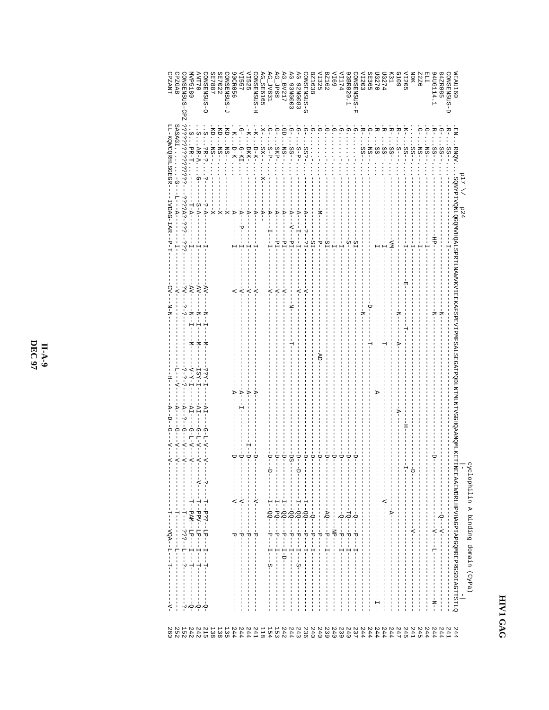| <b>VEAU160</b>                   | <b>EN</b><br><b>RNQV</b><br>P17<br>P24           |             | SQNYPTVQNLQGQMVHQQATARANANNVNVVTEZEKAFSPEVIEPRFSALSEGATPODLMTMTVGGHQQHAMQWTFTTEFFF |                        |                                           | cypelophilin A binding domain (CyPa)<br>EAAEWDRLHPVHAGPIAPGQMREPRGSDIAGTTSTLQ | 244                     |
|----------------------------------|--------------------------------------------------|-------------|------------------------------------------------------------------------------------|------------------------|-------------------------------------------|-------------------------------------------------------------------------------|-------------------------|
| T-SUSNESNOS                      | R-<br>$-55-$                                     |             |                                                                                    |                        |                                           |                                                                               | 241                     |
| 84ZR085                          | $-ss-$                                           |             |                                                                                    |                        |                                           | $-6 - -7 - -$                                                                 | 244                     |
| 1. 111114.1                      | $-ss-$                                           | HP-         |                                                                                    |                        |                                           | $-1$ - $-1$<br>ن<br>ا                                                         | 244                     |
| Ë                                | $-SNI$                                           |             |                                                                                    |                        |                                           | $\frac{1}{1}$                                                                 | 244                     |
| 2226                             | ဂု<br>$MS-$                                      |             |                                                                                    |                        |                                           |                                                                               | 245                     |
| NDK                              | $-55-$                                           |             |                                                                                    |                        |                                           | $-\Delta$ -                                                                   | 241                     |
| AI205                            | $-ss-$                                           |             |                                                                                    |                        |                                           | ì                                                                             | 245                     |
| G0T <sub>D</sub>                 | $\frac{5}{1}$                                    |             |                                                                                    |                        |                                           | $\frac{1}{1}$                                                                 | 247                     |
| $\frac{1}{2}$                    | $-55-$                                           |             |                                                                                    |                        |                                           | $\frac{1}{1}$<br>$-1$                                                         | 244                     |
|                                  | .ss.                                             |             |                                                                                    |                        |                                           | $-4$                                                                          | 244                     |
|                                  | .ss.                                             |             |                                                                                    |                        |                                           | $-1$                                                                          | 244                     |
| UG274<br>UG270<br>SE365<br>VI203 | Ģ                                                |             |                                                                                    |                        |                                           | i                                                                             | 244                     |
|                                  |                                                  |             |                                                                                    |                        |                                           | ì                                                                             | 244                     |
| <b>ONSENSUS-F</b>                |                                                  |             |                                                                                    |                        |                                           | $-5 - -$<br>$-$ - $-$ - $-$<br>Ţ                                              | 237                     |
| 3BR020.1                         |                                                  |             |                                                                                    |                        | 무                                         | $- - - 20 - - - -$<br>$\frac{1}{1}$<br>Ţ<br>$\frac{1}{1}$                     | 240                     |
| <b>ATI74</b>                     |                                                  |             |                                                                                    |                        | 무                                         | i.<br>ì                                                                       | 239                     |
| <b>NE69</b>                      |                                                  |             |                                                                                    |                        | Ļ                                         | -<br>검<br>단<br>т<br>¦                                                         | 240                     |
| 3Z162                            |                                                  | $-55-$      |                                                                                    |                        | à                                         | $-56-$<br>$\frac{1}{\sigma}$<br>$\frac{1}{1}$<br>Ĥ                            | 239                     |
| <b>71325</b>                     |                                                  |             |                                                                                    |                        | à                                         | $\frac{1}{1}$<br>ᡃᠣ<br>ì                                                      | 240                     |
| Z163B                            |                                                  | $-51$       |                                                                                    |                        | Ļ                                         | $-5 -$<br>Ъ<br>$\mathbf{I}$<br>Ť<br>$\frac{1}{1}$                             | 240                     |
| D-SOSNESNO                       |                                                  |             |                                                                                    |                        | à                                         | $\frac{1}{1}$<br>$-80-$<br>Ō<br>Ţ                                             | 236                     |
| Le 02NG083                       | $-5 - p$ .                                       |             |                                                                                    |                        | $- - -$                                   | $1 - 00 - 1$<br>Ъ<br>j.<br>$1 - -5$                                           | 243                     |
| <b>SC_93NG003</b>                | $-55-$                                           |             |                                                                                    |                        | $-5S-$                                    | $-50-$<br>ᠸ<br>I<br>T<br> <br> <br>I                                          | 244                     |
| <b>SU217</b>                     | $-$ SN $-$                                       |             |                                                                                    |                        | Ļ                                         | $1 - 00 - 1$<br>Ъ<br>$I - D - -$                                              | 242                     |
| <b>12988</b>                     | ဂု<br>- GKP-                                     |             |                                                                                    |                        | 무                                         | $I--DQ-$<br>ᠸ<br>부                                                            | 153                     |
| LE8V <sub>U</sub> DV             | $\Omega$<br>$-5 - P$                             |             |                                                                                    |                        | 무                                         | $I = -QQ -$<br>$rac{1}{d}$<br>$I = -5S$                                       | 154                     |
| <b>G SE6165</b>                  | x-<br>$-XX$ -                                    |             |                                                                                    |                        |                                           |                                                                               | 118                     |
| H-SOSNESNO                       | $\overline{\mathbf{x}}$ .<br>$-K-K$              |             | ╬                                                                                  |                        | à                                         | I<br>$\frac{1}{d}$                                                            | 241                     |
| <b>71525</b>                     | $\overline{\mathbf{x}}$ .<br>. DKK-<br>$-\nabla$ |             | $\overline{\zeta}$                                                                 | Þ                      | ין<br>ו<br>à                              | Д<br>ì                                                                        | 244                     |
| 71557                            | <u>ဂု</u><br>$-9 - KI$<br>$-4-$                  | 헌           | ╬                                                                                  | $\mathbb{F}$           | 무<br>I<br>1                               | $-4 - 7 -$<br>$-1 - 1$<br>т                                                   | 244                     |
| OCR056                           | k.<br>$-L-K-$                                    |             |                                                                                    |                        | I<br>п                                    | $-1$ - $\Delta$ - $-$<br>$-1$                                                 | 244                     |
| <b>C-SOSNESNO</b>                | KD.<br>$-SN$ .<br>$\overline{\mathsf{x}}$        |             |                                                                                    |                        |                                           |                                                                               | 135                     |
| <b>SE7022</b>                    | KD.<br>$-SS-$<br>$x -$                           |             |                                                                                    |                        |                                           |                                                                               | 138                     |
| E7887                            | ĕ<br>$-SN$ .<br>$\overline{x}$                   |             |                                                                                    |                        |                                           |                                                                               | 138                     |
| O-SOSNESNO                       | S<br>$-3R-7$<br>$5 - 7$                          |             | $\frac{1}{1}$                                                                      |                        | İ<br>$\frac{1}{1}$                        | <b>ゴーー ロッツーー ビローーー</b><br>$L - -1$<br>$-5 -$                                  | <b>215</b>              |
| 0LLM                             | $A = AR$ .<br>$-S - A -$                         |             | $AV-$<br>$\frac{1}{2}$<br>$\frac{1}{2}$                                            | $I - XST$<br><b>EA</b> | $-Q-T-T$<br>$-1$ - $\Delta$ - $-$<br>ŧ    | H-IPPV-IPP---<br>$-1 - -1 -$<br>$-5 -$                                        | 242                     |
| <b>NP5180</b>                    | $-BK-T$<br>$F - F$                               |             | $-1$<br>≊                                                                          | $I - X - \Lambda$<br>N | $G - T - \Lambda -$<br>$\overline{\zeta}$ | ۲<br>T<br>$-1 - 5 - 1 - 1 - 1 - 1$<br>ė<br>1                                  | $\sum_{i=1}^{n}$<br>242 |
| -SQSENS<br>SQSENS<br>NOT         | ssant-                                           | $-23 - -22$ | - Ad                                                                               | ن – ن−ن<br>ت<br>$-5$   | မှု<br>$-\Delta$ -                        | ٠.<br>Ţ<br>$\frac{1}{1}$                                                      | ن-<br>ا<br><b>152</b>   |
| <b>SPZGAB</b>                    |                                                  |             |                                                                                    |                        | Ω<br>⊰                                    | i<br>H<br>투                                                                   | J<br>252                |
| PZANT                            | <b>L-KOWCQRHL</b><br>IVDAG-                      | 믿           | z<br>z                                                                             |                        | ၐ                                         | ーーーー                                                                          | ∻<br>260                |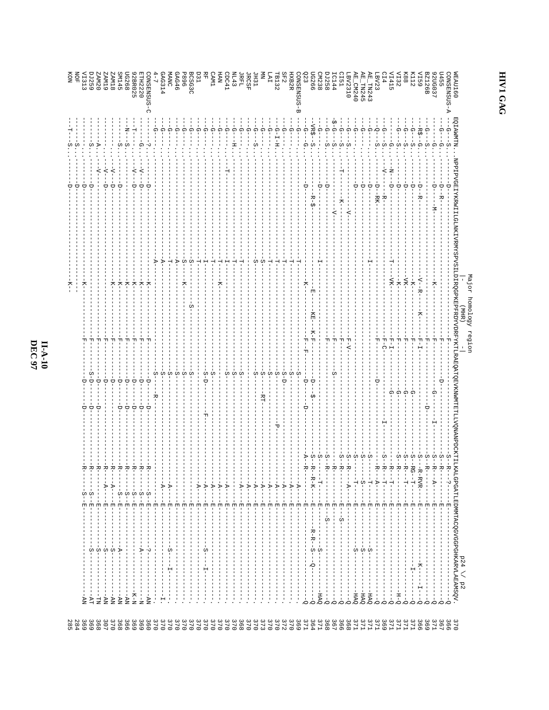#### $\frac{H-A-10}{\text{DEC } 97}$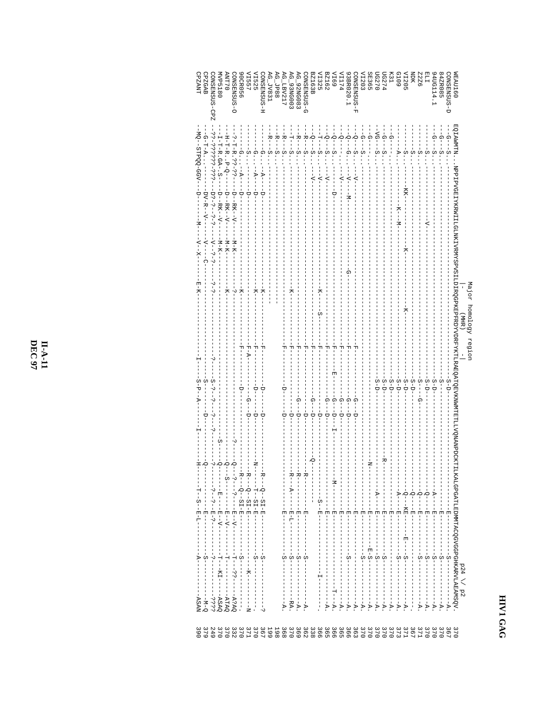| CPZANT<br>CPZGAB<br>90CR056<br><b>BZ162</b><br>MVP5180<br>H-SOSNESNOC<br>BZ163B<br>O-SOSENSNOC<br>$\begin{array}{c} \text{AG\_} \text{3} \, \text{3} \text{N} \text{G} \mathbf{0} \, \text{0} \, \text{3} \\ \text{AG\_J} \text{P} \text{8} \\ \text{AG\_J} \text{V} \text{8} \, \text{3} \\ \text{AG\_J} \text{V} \text{8} \, \text{3} \, \text{1} \end{array}$<br>$\begin{array}{c} \texttt{CONSEINSUS-G} \\ \texttt{AG\_9 ZNG083} \end{array}$<br>DONSENSUS-CPZ<br><b>PATT70</b><br>VI5225<br>VI557<br>VI325                                                                                                                                               | $\begin{array}{l} 0.1205 \\ 0.1210 \\ 0.1210 \\ 0.1210 \\ 0.12236 \\ 0.1208 \\ 0.1210 \\ 0.12174 \\ 0.1114 \\ 0.169 \\ 0.1174 \\ 0.169 \\ 0.169 \\ 0.160 \\ 0.160 \\ 0.160 \\ 0.160 \\ 0.160 \\ 0.160 \\ 0.160 \\ 0.160 \\ 0.160 \\ 0.160 \\ 0.160 \\ 0.160 \\ 0.160 \\ 0.160 \\ 0.160 \\ 0.16$<br>XICIN<br>2226<br>Ë<br><b>VEAU160</b><br>340C114.<br>d-SQSENSD2-D<br>4ZR085                                                                                                                                                                                                                                                                                                                                                                                                                                                                                                                                                                                                                                                                                                                                                                                                                                                                                                                                                   |
|---------------------------------------------------------------------------------------------------------------------------------------------------------------------------------------------------------------------------------------------------------------------------------------------------------------------------------------------------------------------------------------------------------------------------------------------------------------------------------------------------------------------------------------------------------------------------------------------------------------------------------------------------------------|---------------------------------------------------------------------------------------------------------------------------------------------------------------------------------------------------------------------------------------------------------------------------------------------------------------------------------------------------------------------------------------------------------------------------------------------------------------------------------------------------------------------------------------------------------------------------------------------------------------------------------------------------------------------------------------------------------------------------------------------------------------------------------------------------------------------------------------------------------------------------------------------------------------------------------------------------------------------------------------------------------------------------------------------------------------------------------------------------------------------------------------------------------------------------------------------------------------------------------------------------------------------------------------------------------------------------------|
| -A55-00d-315-0M-<br>$\frac{1}{1}$<br>$-1$<br>$-23222 - 222 - 22$<br>$\frac{1}{2}$<br>$G-T-A$<br>H-H-H-H-H-<br>خ<br>ا<br>$\sum_{i=1}^{n}$<br>R-<br>Ģ<br>$I-T-RT$ . GA-. S<br>$-1-E$<br>Ω,<br>Ö۵<br>Ω<br>Ω<br>$-25 - 25$<br>$-1$<br>A-<br>A<br>i<br>⊰<br>$\overline{\mathrm{A}}$ –<br>ロー<br>DV-R-<br>$D2 - 2 - -2 -$<br>ローー ヌヌーー<br>ç<br><b>ロートスドート</b><br>$RK--V-$<br>$-\Delta - -1$<br>$-K-K$<br>$-1$ N $-$ K $-$<br>?⊤<br>∶<br>$-N-K-$                                                                                                                                                                                                                       | <b>EQIMMININ</b><br>$-\Delta G$ -<br>$\frac{1}{\Omega}$<br>$-1$<br>ဂှ<br>ó,<br>$\frac{1}{2}$<br>Ω<br>ဂု<br>ဂု<br>$\frac{1}{\Omega}$<br>J<br>CJ<br>J<br>C<br>ပ္ပ်<br>♪<br>S<br>$-1 - 1 - 1$<br>-N-                                                                                                                                                                                                                                                                                                                                                                                                                                                                                                                                                                                                                                                                                                                                                                                                                                                                                                                                                                                                                                                                                                                               |
| Ï<br>ن-<br>ا<br>خ<br>Ϋ́<br>주<br>주<br>피<br>진<br>ч<br>Ŧ<br>Ŧ<br>丏<br>≖<br>Ŧ                                                                                                                                                                                                                                                                                                                                                                                                                                                                                                                                                                                     | Major homology region<br>ЖHК                                                                                                                                                                                                                                                                                                                                                                                                                                                                                                                                                                                                                                                                                                                                                                                                                                                                                                                                                                                                                                                                                                                                                                                                                                                                                                    |
| 3 - Ե<br>s<br>L<br>à<br>ဂှ<br>ငှ<br>φ<br>ဂ္<br>ဂု<br>ဂု<br>÷<br>U<br>à<br>무<br>à<br>à<br>Ģ<br>٠,<br>∪<br>무<br>p<br>à                                                                                                                                                                                                                                                                                                                                                                                                                                                                                                                                          | $-5 - D -$<br>$-S-D-$<br>$-5-D-$<br>$S-D$<br>$S-D$<br>$S-D$<br>ŵ<br>$S-D-$<br>ŵ<br>S-D<br>$S-D-$<br>l.<br>$\frac{1}{2}$<br>ଢ଼<br>à                                                                                                                                                                                                                                                                                                                                                                                                                                                                                                                                                                                                                                                                                                                                                                                                                                                                                                                                                                                                                                                                                                                                                                                              |
| ဂု<br>Ξ<br>Ю<br>ပေးလ<br>Ю<br>$\begin{split} &\ddots-\mathbf{R}=-\dotsc=-\dotsc-\dotsc\\ &\ddots-\mathbf{R}=-\mathbf{R}=-\mathbf{R}=-\dotsc-\mathbf{R}=-\dotsc\\ &\ddots \end{split}$<br>$- - B - - -$<br>$-1 - B - -C$<br>$-1$<br>$- -2 - -1 - -1$<br>$-$ <b>R</b> $-$ -----<br>$- - - - - - - -$<br>C<br>$--------S---$<br>ŧ<br>$\frac{1}{1}$<br>$\begin{array}{c} 1 \\ 1 \\ 1 \end{array}$<br>$B - 2I - E$<br>$- - - - - - -$<br>$g = -SI - E$<br>۲<br>ا<br>$Q = -5I - E$<br>$E - E = -E$<br>$\frac{1}{2}$<br>$-1$<br>$-1$<br>$-5 - 1 - 1 - 2$<br>$\frac{1}{2}$<br>$\frac{1}{1}$<br>国<br>$-1$<br>Ĭ<br>$\frac{1}{1}$<br>ł,<br>$\frac{1}{2}$<br>$\frac{1}{1}$ | LYOUANPDCKT<br>÷<br>⊢<br>Ż<br>$\frac{1}{1}$<br>$---A---E$<br>$- - - - - - - - - - - - - -$<br>----------<br>$\begin{bmatrix} 1 \\ 1 \\ 1 \end{bmatrix}$<br>$-1$<br>$-1$<br>$-1$<br>$-1$<br>$-1$<br>$-1$<br>$\frac{1}{15}$<br>$\frac{1}{12}$<br>$-1 - 1$<br>$-1 - 1$<br>$\frac{1}{1}$<br>$\frac{1}{\mathbb{H}}$<br>$\frac{1}{1}$<br>Ŧ<br>T<br> <br> <br>$\frac{1}{1}$                                                                                                                                                                                                                                                                                                                                                                                                                                                                                                                                                                                                                                                                                                                                                                                                                                                                                                                                                            |
| $-4-1$<br>$- -\Lambda - -$<br>$1 - 4 - -1$<br>ţ<br>Ţ<br>1<br>$\mathbf{I}$<br>$\frac{1}{1}$<br>$-1 - 3 - 1$<br>$-1 - 3 - 1$<br>$-1 - 3 - 1$<br>Τ.<br>$-1 - 1 - 1 - 1 - 1$<br>$-8 - -$<br>$-5 - -$<br>$- - 5 - -$<br>$--- - - - - - - - - -$<br>$\ddot{\vec{r}}$<br>j<br>$\frac{1}{1}$<br>$---RA$ .<br>---ASAQ<br>---ATAQ<br>$N = - - - - -$<br>$- - -M - O$<br>--3333<br>$----A$ .<br>-ASAN<br>$---A$ .<br>$---A$ .<br>$\frac{1}{2}$<br>$\cdot$ V $-$                                                                                                                                                                                                          | LKALGPGATLEDMMTACQGVGGPGHKARVLAEAMSQV.<br>$\begin{aligned} &\textbf{E}=-\frac{1}{2}=-\frac{1}{2}=-\frac{1}{2}-\frac{1}{2}-\frac{1}{2}-\frac{1}{2}-\frac{1}{2}-\frac{1}{2}-\frac{1}{2}-\frac{1}{2}-\frac{1}{2}-\frac{1}{2}-\frac{1}{2}-\frac{1}{2}-\frac{1}{2}-\frac{1}{2}-\frac{1}{2}-\frac{1}{2}-\frac{1}{2}-\frac{1}{2}-\frac{1}{2}-\frac{1}{2}-\frac{1}{2}-\frac{1}{2}-\frac{1}{2}-\frac{1}{2}-\frac{1}{2}-\frac{1}{2}-\frac{1}{2}-\frac$<br>$\begin{aligned} & -E &=-\frac{1}{2}=-\frac{1}{2}-\frac{1}{2}-\frac{1}{2}-\frac{1}{2}-\frac{1}{2}-\frac{1}{2}-\frac{1}{2}-\frac{1}{2}-\frac{1}{2}-\frac{1}{2},\\ & -E &=-\frac{1}{2}-\frac{1}{2}-\frac{1}{2}-\frac{1}{2}-\frac{1}{2}-\frac{1}{2}-\frac{1}{2}-\frac{1}{2}-\frac{1}{2}-\frac{1}{2}-\frac{1}{2}-\frac{1}{2}-\frac{1}{2}-\frac{1}{2}-\frac{1}{2}-\frac{1}{2}-\frac{1}{2}-\frac{1}{2}-$<br>$\begin{bmatrix} 1 \\ 1 \\ 1 \\ 1 \end{bmatrix}$<br>$\begin{array}{c} \n 1 \\  1 \\  1\n \end{array}$<br>$\frac{1}{1}$<br>$- - \underline{E} - \underline{E} - \underline{S} - -$<br>$-------S---$<br>$--- - - - - - -$<br>$-----S---$<br>$--3--$<br>$\frac{1}{1}$<br>p24<br>$\begin{array}{c} 1 \\ 1 \\ 1 \end{array}$<br>. — — — — — — Д.<br>— — — — — — — Д.<br>$\mathbf{V}$ = = = = = = = $\mathbf{V}$<br>$\mathbf{V}$ - - - - - - - - -<br>$-----\n---\n-------A.52$ |
| 372<br>3749<br>379<br>370<br>370<br>371<br>390<br>332                                                                                                                                                                                                                                                                                                                                                                                                                                                                                                                                                                                                         | 370<br>370<br>367                                                                                                                                                                                                                                                                                                                                                                                                                                                                                                                                                                                                                                                                                                                                                                                                                                                                                                                                                                                                                                                                                                                                                                                                                                                                                                               |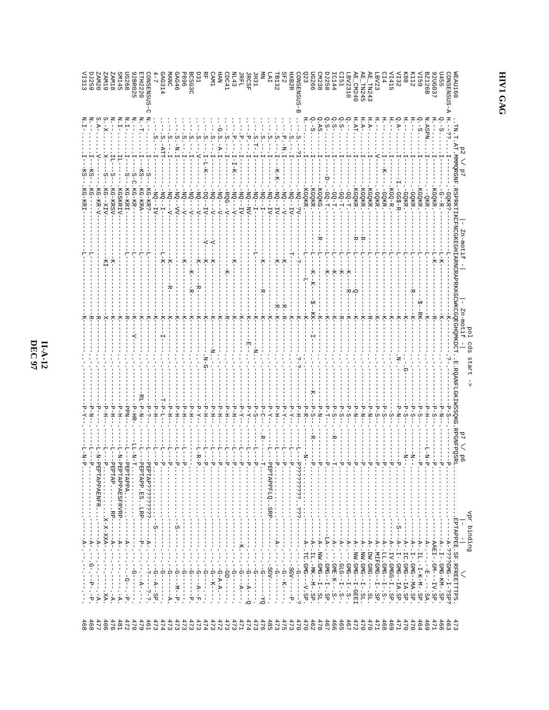#### $\frac{H-A-12}{\text{DEC~97}}$

|                 | <b>AM19</b> | <b>BIMA</b>             | M145                                                                                                  | 3268                          | <b>BR025</b>                                 |                                           | <b>SOSNESNE</b>                          |               | <b>AG314</b> |                         | <b>PEC46</b>  | 968 | 3G3C                          |               |     | <b>LMA</b>          | E                  | DC41                     | L43                      | RFL                     | <b>RCSF</b>           | H <sub>31</sub>                                                                                                                                                |                        |                             | <b>B132</b>         |                                 | XB2R                                              | SUSNESNC |                     | 3266 | N238 | <b>7258</b>                    | 2144<br>Š |     | 3V2310                                                                                                                                                                                                                                                                                                              | CM24C<br>i<br>H                  | <b>TN245</b>                    | LN243               | <b>BV23</b>                | Γ4                          | I415                        | <b>132</b>                                                        | $\frac{8}{8}$ | 59<br>$\frac{1}{2}$                                 |                                | Z126B<br><b>POS37</b>            | <b>ONSENSUS</b><br>45D                                         | <b>SAU160</b>          |          |             |  |
|-----------------|-------------|-------------------------|-------------------------------------------------------------------------------------------------------|-------------------------------|----------------------------------------------|-------------------------------------------|------------------------------------------|---------------|--------------|-------------------------|---------------|-----|-------------------------------|---------------|-----|---------------------|--------------------|--------------------------|--------------------------|-------------------------|-----------------------|----------------------------------------------------------------------------------------------------------------------------------------------------------------|------------------------|-----------------------------|---------------------|---------------------------------|---------------------------------------------------|----------|---------------------|------|------|--------------------------------|-----------|-----|---------------------------------------------------------------------------------------------------------------------------------------------------------------------------------------------------------------------------------------------------------------------------------------------------------------------|----------------------------------|---------------------------------|---------------------|----------------------------|-----------------------------|-----------------------------|-------------------------------------------------------------------|---------------|-----------------------------------------------------|--------------------------------|----------------------------------|----------------------------------------------------------------|------------------------|----------|-------------|--|
| $\tilde{A}$     | m           |                         |                                                                                                       |                               | U)                                           |                                           |                                          |               |              |                         |               |     |                               |               |     |                     |                    |                          |                          |                         |                       |                                                                                                                                                                |                        |                             |                     |                                 |                                                   |          |                     |      |      |                                |           |     |                                                                                                                                                                                                                                                                                                                     |                                  |                                 |                     |                            |                             |                             |                                                                   |               |                                                     |                                | ASPN                             |                                                                |                        | đ        |             |  |
| AIX-            |             | <b>G-KRSV</b>           | <b>GSKRIV</b>                                                                                         | G-KRI-                        | G-KR.                                        | G-KRA                                     | KG-KR?-                                  | $-00$<br>IJ.  |              | $\overline{\zeta}$      | Š.            |     |                               |               |     | $\overline{\Delta}$ |                    |                          |                          | Ę                       |                       |                                                                                                                                                                |                        |                             |                     |                                 | NQ--IV-                                           |          | COKR.               | GQKR | GQKG |                                | 90-T      |     | 90-T                                                                                                                                                                                                                                                                                                                | GQKR                             |                                 | GQRœ                | <b>3QKR</b>                | GQKR                        | 30-R                        | $GG5 - R$                                                         | GQKR          | GQKR<br>QКR                                         | QKR                            |                                  | GQKR                                                           |                        |          |             |  |
|                 |             |                         |                                                                                                       |                               |                                              |                                           |                                          |               |              |                         |               |     |                               |               |     |                     |                    |                          |                          |                         |                       |                                                                                                                                                                |                        |                             |                     |                                 |                                                   |          |                     |      |      | ×                              |           |     | ₩                                                                                                                                                                                                                                                                                                                   | Ю                                |                                 |                     |                            |                             |                             |                                                                   |               |                                                     |                                |                                  |                                                                | <b>NCGKEGHIARNCR</b>   | Zn-moti  |             |  |
|                 |             |                         |                                                                                                       |                               |                                              |                                           |                                          |               |              |                         |               |     |                               |               |     |                     |                    |                          |                          |                         |                       |                                                                                                                                                                |                        |                             |                     |                                 |                                                   |          |                     |      |      |                                |           |     |                                                                                                                                                                                                                                                                                                                     |                                  |                                 |                     |                            |                             |                             |                                                                   |               | Ř                                                   |                                |                                  |                                                                | MKCGQEGHQMKDC          | Zn-motif | Fod<br>cds  |  |
|                 | $H - d$     |                         | P-H·                                                                                                  | <b>PPN</b> .                  | ヤ<br>田                                       | R-P-N                                     |                                          | $H - 4$       |              | H-q                     | P-H           |     | $H - d$                       | P-Y           |     |                     | $H - d$            |                          |                          |                         |                       | ÜΩ                                                                                                                                                             | ò                      |                             |                     |                                 |                                                   |          |                     |      |      |                                |           |     | r,                                                                                                                                                                                                                                                                                                                  |                                  |                                 |                     | r,                         | ÜΩ                          |                             |                                                                   | ပ္ပ           | ÜΩ                                                  |                                | P-H                              |                                                                | OANFLGKIWSSQKG         |          | start       |  |
|                 |             |                         |                                                                                                       |                               |                                              |                                           |                                          |               |              |                         |               |     |                               |               |     |                     |                    |                          |                          |                         |                       |                                                                                                                                                                |                        |                             |                     |                                 |                                                   |          |                     |      |      |                                |           |     |                                                                                                                                                                                                                                                                                                                     |                                  |                                 |                     |                            |                             |                             |                                                                   |               |                                                     |                                | T-N-F                            |                                                                |                        | Ъe       |             |  |
|                 |             |                         | -<br>-<br>-<br>-<br>-<br>-<br>-<br>-<br>-<br>-<br>-<br>-<br>-<br><br><br><br><br><br><br><br><br><br> |                               | $1 + 1 + 1 + 1 + 1 + 1 + 1$<br>$\frac{1}{2}$ | TAPP.ES. IRP----<br>$- - - - - - - - - -$ |                                          |               | .            | $\frac{1}{1}$           |               |     |                               | $\frac{1}{2}$ |     | $\frac{1}{2}$       |                    | $\frac{1}{2}$            |                          | $---K.---$              |                       | $\frac{1}{2}$ , $\frac{1}{2}$ , $\frac{1}{2}$ , $\frac{1}{2}$ , $\frac{1}{2}$ , $\frac{1}{2}$ , $\frac{1}{2}$ , $\frac{1}{2}$ , $\frac{1}{2}$<br>$\frac{1}{2}$ | $\frac{1}{2}$          | $\frac{1}{2}$               | $- - - - - - - - -$ | $\frac{1}{2}$<br>$\frac{1}{2}$  | $-1 - 1 - 1 - 1 - 1 - 1 - 1 - 1$<br>$\frac{1}{2}$ |          |                     |      |      |                                |           |     | $\frac{1}{2}$ $\frac{1}{2}$ $\frac{1}{2}$ $\frac{1}{2}$ $\frac{1}{2}$ $\frac{1}{2}$ $\frac{1}{2}$ $\frac{1}{2}$ $\frac{1}{2}$ $\frac{1}{2}$ $\frac{1}{2}$ $\frac{1}{2}$ $\frac{1}{2}$ $\frac{1}{2}$ $\frac{1}{2}$ $\frac{1}{2}$ $\frac{1}{2}$ $\frac{1}{2}$ $\frac{1}{2}$ $\frac{1}{2}$ $\frac{1}{2}$ $\frac{1}{2}$ |                                  |                                 |                     |                            |                             |                             |                                                                   |               |                                                     |                                |                                  |                                                                |                        |          | vpr binding |  |
| - . --- - . XA. |             | $- - - - - - - - - - -$ | $- - - - - - - - - -$                                                                                 | $- - - - - - - - - - - - - -$ | $-1$ - - - - -                               | $- - - - - - - - - - - -$                 | $\ddot{c} - \dot{c} - - - - \dot{c} - -$ | $-9 - -8 - 5$ | $-6 - -$     | $- - G - - - - - - R$ . | $-G--N---D--$ |     | $-1 - 0 - 1$<br>$\frac{1}{d}$ | $-G---A---F$  |     |                     | $-G - A - A$ . --- | $-1 - 1 - 1 - 1 - 1 - 1$ | $-1 - 1 - 1 - 1 - 1 - 1$ | $- - - - - - - - - - -$ | $- - - - - - - - - -$ |                                                                                                                                                                | $0x - - - - - - - - -$ | $-SSC-V -$<br>$\frac{1}{1}$ | $-1 - 9 - 1 - 1$    | $- - - - - - - - - - - - - - -$ | $-5GV----P$ .                                     |          | --A-.TC.GMG---V.SP. |      |      | $-1 - 2A - 1 - GMC - - 1 - SP$ |           |     |                                                                                                                                                                                                                                                                                                                     | $- -A - INM$ . GMG $- -I - GEEL$ | $- -A - NW$ . GMG $- -I - SL$ . | --A-.DW.GRG----.SL. | $- -A - MIFGMG - I - SP$ . | $- -A - L.L. GNG - T - S -$ | $- -A - LV$ . GMGG-I. . SP. | . $- - S - - - A - 2NG - - 1A$ . SP .<br>-------A-.IC.GMG--IA.SP. |               | ----A-.I-.GMG--MA.SP.<br>--A- . IL . -I-K-M- . SP . | - - A - - - - - - - - - - SA . | $  A$ AEI $-$ . GM $-$ - IV. SP. | - - - - - - - A - 29YG-1-2-23P3<br>$- -A - I$ . GMG-KN - . SP. | . EPTAPEE . SFREETTPS. | $\leq$   |             |  |
|                 | 406<br>477  | 476                     | 481                                                                                                   | 472                           | 470                                          | 479                                       | 461                                      | 473           | 474          | 473                     | 473           | 473 | 473                           | 473           | 474 | 473                 | 472                | $473$                    | $473$                    | 471                     | 474                   | $473$                                                                                                                                                          | 476                    | 485                         | 473                 | $475$                           | 473                                               | $470$    | 470                 | 462  | 470  | 467                            | 466       | 465 | 467                                                                                                                                                                                                                                                                                                                 | $472$                            | 470                             | 470                 | 471                        | 468                         | 469                         | 471                                                               | 470           | $470$<br>464                                        |                                | 469<br>471                       | 466<br>463                                                     | 473                    |          |             |  |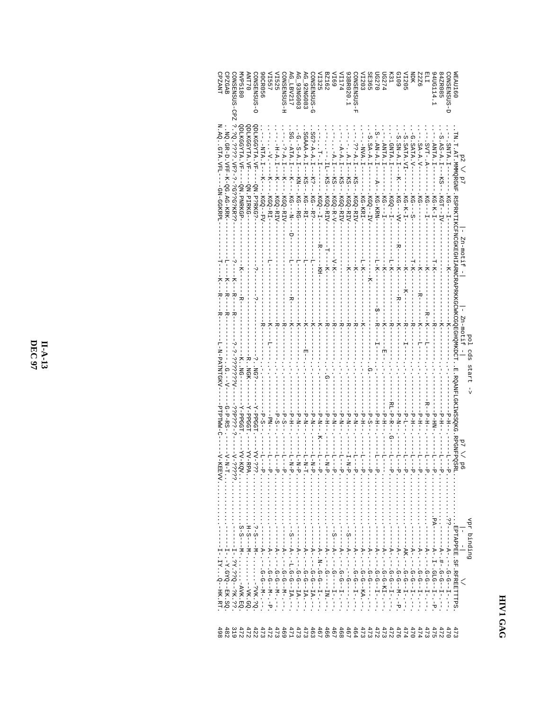| -SQSENSUS-<br>2.30 < 2012 - 2012 - 2012 2022 2022 203<br>QDLKGGYTA.VF----QN.PNRKGP-<br>.NQ.GR-D-VFF-K-QG.AG-KRK-<br>$A \ddot{c} \ddot{c} \ddot{c} \ddot{c} \ddot{c} \ddot{c} - \ddot{c} - \dot{c}$<br>K.NG-- | O-SOSNEXEOC<br><b>PLKGGYTA.VF-</b><br>QDLKGGYTA.VF----QN.P?RKG?-<br>QN.PIRKG-<br>R. NGK-<br>$\sim$ NG2- |         | $\cdots$ - $\Delta$ - $\cdots$<br>$-K-$<br>$-KGQ-RT-$ | - H-A.I---K--<br>.KGQ-RIV | KGQ-RIV | $SG. - \texttt{ATA} . \texttt{I}---\texttt{K}--$<br>$KG---N---$ | $-G - S - R \cdot I$<br>$-KN$<br>KG--RG- | SGAAA-A.I<br>$-KS$<br>$KG--RT-$ | SG?-A-A.I<br>i<br>3<br>KG--R?- | $KGC$ --I-<br>$X^-$ | $I_{II}$ - $KS$<br>KGQ-RIV<br>하 | $-$ KS<br>$KGP-F-V$<br>$V-K-$<br>능 | $-A - A$ . I<br>$-$ KS.<br>KGQ-RIV-<br>능 | $\ldots$ A . I<br>$-$ KS.<br>KGQ-RIV-<br>$-K-$ | $29-7.1$<br>KS<br>KGQ-RIV<br>$-1 - K -$ | . -NVA . I<br>KG-KRI-<br>$L - K - -$ | $-S.S.A- A.T$<br>KGQ---IV- | $S-$ . AN–A . $\texttt{I}\xspace -\texttt{--}$ . A<br>.KG-KRN--<br>$-K-1$<br>S---R-- | $-LMTA$ . $I-LMFA$ .<br>$KG---T-$<br>$-K-$ | $-117A$ . $I$<br>$KGO-1$ -I-<br>$L - K - -$ | $-S$ . SN-A. I----K--<br>$KG--VV$ -<br>--X-- | -S.SATA.VI--<br>$KG-K-T-$<br>--<br>--<br>--<br>- 12 - - - - 1 | $-G.SARTA.V-$<br>$KG---S$ - | $-SA - A \cdot V -$<br>$KG-----$<br>$-1$ | $-LAS$ .<br>$\ddot{\mathbf{r}}$<br>$KG---I-$ | . ANTA . I .<br>.KG-K-I-<br>1-K-     | $.AS-A.$<br>$KGT$ --<br>P-H- | セーエ | , JL, MANGRORIE , RESONNER GENERAL ERREGION EN SERVEREN ERREGIONEN EN SERVEREN EN SERVEREN EN SERVEREN EN SERVEREN EN SERVEREN EN SERVEREN EN SERVEREN EN SERVEREN EN SERVEREN EN SERVEREN EN SERVEREN EN SERVEREN EN SERVEREN<br>.RQANFLGKIWSSQKG | $\sqrt{4}$<br>Zn-motif<br>Zn-motif | ð           |
|--------------------------------------------------------------------------------------------------------------------------------------------------------------------------------------------------------------|---------------------------------------------------------------------------------------------------------|---------|-------------------------------------------------------|---------------------------|---------|-----------------------------------------------------------------|------------------------------------------|---------------------------------|--------------------------------|---------------------|---------------------------------|------------------------------------|------------------------------------------|------------------------------------------------|-----------------------------------------|--------------------------------------|----------------------------|--------------------------------------------------------------------------------------|--------------------------------------------|---------------------------------------------|----------------------------------------------|---------------------------------------------------------------|-----------------------------|------------------------------------------|----------------------------------------------|--------------------------------------|------------------------------|-----|----------------------------------------------------------------------------------------------------------------------------------------------------------------------------------------------------------------------------------------------------|------------------------------------|-------------|
| 부                                                                                                                                                                                                            |                                                                                                         |         |                                                       |                           |         |                                                                 |                                          |                                 |                                |                     |                                 |                                    |                                          |                                                |                                         |                                      |                            |                                                                                      |                                            |                                             |                                              |                                                               |                             |                                          |                                              |                                      |                              |     |                                                                                                                                                                                                                                                    |                                    |             |
|                                                                                                                                                                                                              |                                                                                                         |         |                                                       |                           |         |                                                                 |                                          |                                 |                                |                     |                                 |                                    |                                          |                                                |                                         |                                      |                            |                                                                                      |                                            |                                             |                                              |                                                               |                             |                                          |                                              |                                      |                              |     |                                                                                                                                                                                                                                                    |                                    |             |
| L-N-PATNTGKV                                                                                                                                                                                                 |                                                                                                         |         |                                                       |                           |         |                                                                 |                                          |                                 |                                |                     |                                 |                                    |                                          |                                                |                                         |                                      |                            |                                                                                      |                                            |                                             |                                              |                                                               |                             |                                          |                                              |                                      |                              |     |                                                                                                                                                                                                                                                    |                                    |             |
| Y-PPGG-T<br>335335-3                                                                                                                                                                                         | IDDdd-X<br>A-PPGG-T                                                                                     | $P-S-1$ | $-5M$ -                                               |                           |         | $P-H--H$                                                        | $-1 - N - d$                             | ローロー                            | $P-N$ - $N$                    | $P-N$ -N-d          | $-H - d$                        | $-1 - N - d$                       | $-5 - N - 1$                             | $-1 - N - d$                                   | -<br>-<br>N-J                           | ロードー                                 |                            | $---H-G$                                                                             | $-H - d$                                   | $R_{L}-R-$<br>.<br>ဂု                       | -<br>-<br>N-1                                | P-1-1                                                         | $-H - d$                    | P-H-1                                    | $-H - d$                                     | $-HH$                                |                              |     |                                                                                                                                                                                                                                                    |                                    |             |
| $-10-K$<br>$-4-2.5$<br>$-N-N-$<br>$EVV\ldots\ldots\ldots$                                                                                                                                                    | $-4A$<br>$-YV - RI$                                                                                     | ÷<br>T  | $-1$                                                  |                           |         | $-1 - N -$                                                      | $-5$                                     |                                 |                                |                     |                                 |                                    |                                          | $-1 - N$                                       |                                         |                                      |                            |                                                                                      |                                            |                                             |                                              |                                                               |                             |                                          |                                              |                                      |                              |     | <b>RPGNFPQSE</b>                                                                                                                                                                                                                                   |                                    |             |
|                                                                                                                                                                                                              |                                                                                                         |         |                                                       |                           |         |                                                                 |                                          |                                 |                                |                     |                                 |                                    |                                          |                                                |                                         |                                      |                            |                                                                                      |                                            |                                             |                                              |                                                               |                             |                                          |                                              | . PA------A- . I - . GLG---I - . - P |                              |     | . . FPLAPPER . SF. FREELLIPP                                                                                                                                                                                                                       |                                    | parbaid xqv |
|                                                                                                                                                                                                              |                                                                                                         |         |                                                       |                           |         |                                                                 |                                          |                                 |                                |                     |                                 |                                    |                                          |                                                |                                         |                                      |                            |                                                                                      |                                            |                                             |                                              |                                                               |                             |                                          |                                              |                                      |                              |     | 473                                                                                                                                                                                                                                                |                                    |             |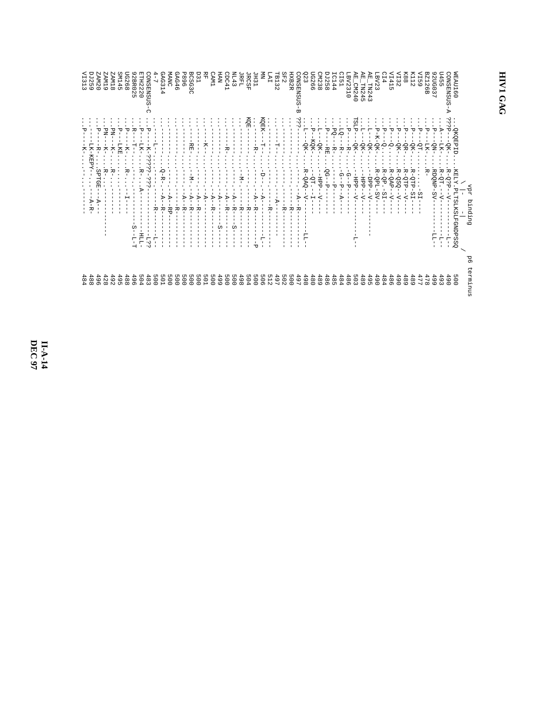| 녕<br>$\omega$<br>$\overline{\phantom{0}}$                                                  | <b>DJ225</b><br>$\omega$ $\omega$    | ZMAZ<br>$\circ$              | 6 IWAZ              | 8 LMAZ      | <b>SM14</b><br><b>υ</b> τ ω | <b>UG26</b>               | ETH2220<br>92BR025                                 |                   | CONS:<br><b>ENSUS</b><br>$\mathbf{I}$<br>Q | $4 - 7$                 | <b>3AG314</b>                            | <b>MANC</b>             | GAG46             | <b>P896</b>             | BCSG3C                         | <b>D31</b> | RЪ                | <b>CAM1</b>          | <b>NAH</b>               | CDC4<br>$\overline{\phantom{0}}$ | <b>NL43</b>             | <b>JRFL</b>    | <b>JRCSF</b> | <b>TEHP</b>                            | ĕ                         | LAI | TB1<br>$\omega$<br>$\mathbf{v}$ | SF2              | HXB2R | -SOSENSEXS-<br>Q23<br>ω                        | <b>UG26</b><br>$\sigma$            | CM <sub>2</sub><br>$\omega$<br>$\infty$ | DJ2<br>U1<br>$\infty$     | IC14<br>4                      | CI5<br>⊢               | LBV2310                           | 묁<br>CM240                      | AE<br>TN243<br>TN245                     | 멁                                      | LBV2<br>$\omega$                                 | CI 4                                               | <b>VI32</b><br>LPIA<br>ÙЛ                    | K88                                    | $_{\rm K1}$<br>$\frac{1}{2}$                 | 65IA                   | BZ126B         | ৩<br>20G037                                                                             | 5455                                                                     | CONSENSUS-<br>⋗                                                                                                     | <b>MEAU160</b>                                                                     |                |
|--------------------------------------------------------------------------------------------|--------------------------------------|------------------------------|---------------------|-------------|-----------------------------|---------------------------|----------------------------------------------------|-------------------|--------------------------------------------|-------------------------|------------------------------------------|-------------------------|-------------------|-------------------------|--------------------------------|------------|-------------------|----------------------|--------------------------|----------------------------------|-------------------------|----------------|--------------|----------------------------------------|---------------------------|-----|---------------------------------|------------------|-------|------------------------------------------------|------------------------------------|-----------------------------------------|---------------------------|--------------------------------|------------------------|-----------------------------------|---------------------------------|------------------------------------------|----------------------------------------|--------------------------------------------------|----------------------------------------------------|----------------------------------------------|----------------------------------------|----------------------------------------------|------------------------|----------------|-----------------------------------------------------------------------------------------|--------------------------------------------------------------------------|---------------------------------------------------------------------------------------------------------------------|------------------------------------------------------------------------------------|----------------|
| $\mathbf{I}$<br>×<br>$\mathbf{I}$<br>$\cdot$<br>$\cdot$<br>$\cdot$<br>$\blacksquare$<br>л. | Η,<br>×<br>ы<br>ᡃᠣ<br>-1<br>ᆽ<br>'n. | ドー<br>m<br>᠊ᡉ<br>н<br>G<br>⋗ | ¥<br>×<br>ヵ         | ¥<br>۳<br>ヵ | <b>TKE</b>                  | д<br>Ķ<br>ヵ               | ᆽ<br>ω<br>$\blacksquare$<br>$\mathbf{I}$<br>÷<br>н | ヵ<br>-TTH         | ٠v<br>ίς.                                  | Н<br>-1                 | ᆽ<br>ש                                   | ゼ<br>ੇ<br>ਬ             | ᅑ                 |                         | ᆽ<br>z<br>∀<br>ヵ               | ∀−<br>ヵ    | ⋗                 | ٢                    | ъ<br>m                   | ヵ<br>ъ                           | ש                       | ≅<br>ヵ         | KQE-         | $\bullet$<br>$\bullet$<br>ヵ<br>۲<br>ᡃᠠ | KQEK-<br>년<br>∀<br>٣<br>부 |     | ש                               | ヵ                |       | ٠v<br>٠v<br>QK-<br>$\blacksquare$<br>OAQ-<br>ъ | KQK-<br>ᄷ<br>л<br>Ğ<br>∻<br>H<br>Ę | QK-<br>п.<br>HPP                        | ᡕ<br>-<br>内<br>႙<br>ᡃᡴ    | ðQ<br>や<br>$\blacksquare$<br>ᡕ | ٣<br>や<br>ഩ<br>᠊ᠣ<br>ъ | $\cdot$<br>ᡕ<br>전<br>ດ<br>п<br>ᡰᠸ | 55<br>Ë<br>QK-<br>HPP<br>⊲<br>٣ | QK-<br>$\blacksquare$<br><b>HPP</b><br>∻ | QK-<br>п<br>DPP<br>∻<br>$\blacksquare$ | ᡃᡉ<br>×<br>QK-<br>$\bullet$<br>ᆽ<br>TdÕ<br>$5V-$ | Ю<br>Ю<br>$\bullet$<br>ᆽ<br>Ю<br>Д<br>ΑÓ<br>m<br>Н | Ъ<br>ÓK-<br>ᆽ<br>ヵ<br>δS<br>₩<br>O<br>⊲<br>∻ | СR-<br>ᆽ<br>J.<br><b>OTP</b><br>п<br>₹ | ᠇ᠣ<br>Ř<br>ヵ<br>ΟH<br>ヷ<br>w<br>$\mathsf{H}$ | g<br>m<br>$\mathsf{H}$ | LX-<br>R-      | ᡃᡉ<br>g<br>RDQNP-<br>$-SV -$<br>L.<br>$\mathbf{I}$<br>$\mathbf{I}$<br>Ę<br>$\mathbf{L}$ | 딪<br>R-<br>Ó.<br>$\blacksquare$<br>$\overline{a}$<br>٣<br>$\blacksquare$ | ٠v<br>Ω.<br>٠v<br>Ю<br>Ř<br>₩<br>$\mathbf{I}$<br>$-4.5$<br>$\overline{A}$<br>п<br>$\mathbf{I}$<br>부<br>$\mathbf{I}$ | OKQEPID<br><b>KELY</b><br>$\cdot$<br>PLTS<br>$\blacksquare$<br><b>LKSLFGNDPSSQ</b> | ਰ੍ਹ<br>binding |
| $\infty$                                                                                   | $\infty$<br>$\infty$ 4               | O                            | $\frac{4}{2}$<br>തയ | O           | O<br>N UT                   | $\frac{4}{8}$<br>$\infty$ | O<br>G                                             | ஶ<br>$\circ$<br>4 | $\frac{4}{8}$<br>ω                         | ஶ<br>$\circ$<br>$\circ$ | ஶ<br>$\circ$<br>$\overline{\phantom{0}}$ | ஶ<br>$\circ$<br>$\circ$ | უ<br>ს<br>$\circ$ | ஶ<br>$\circ$<br>$\circ$ | UЛ<br>$\circ$<br>$\bar{\circ}$ | ρg<br>ō    | ஶ<br>$\circ$<br>Ē | UЛ<br>$\overline{0}$ | $\frac{4}{9}$<br>$\circ$ | ஶ<br>$\overline{S}$              | ஶ<br>$\circ$<br>$\circ$ | 49<br>$\infty$ | <b>504</b>   | ஶ<br>$\circ$<br>$\circ$                | 512<br>506                |     | G<br>$\overline{\phantom{0}}$   | ლ<br>O<br>$\sim$ | 005   | 49<br>$\infty$<br>$\overline{\phantom{a}}$     | 49<br>480                          | $\frac{4}{8}$<br>$\circ$                | $\frac{4}{8}$<br>$\sigma$ | $\frac{4}{8}$<br>ஶ             | $\frac{4}{8}$<br>4     | $\frac{4}{8}$<br>$\sigma$         | უ<br>০<br>$\omega$              | $\frac{4}{8}$<br>$\circ$                 | G<br>UΠ.                               | 49<br>$\circ$                                    | $\frac{4}{8}$<br>خە                                | 49<br>$^\infty$<br>$\circ$                   | $\frac{4}{8}$<br>$\circ$               | $\infty$<br>$\circ$                          | 47<br>$\overline{ }$   | 47<br>$\infty$ | G<br>$\circ$                                                                            | O<br>$\omega$                                                            | $\overline{4}$<br>O<br>$\circ$ $\circ$                                                                              | ஶ<br>$\circ$                                                                       | Ъe<br>terminus |